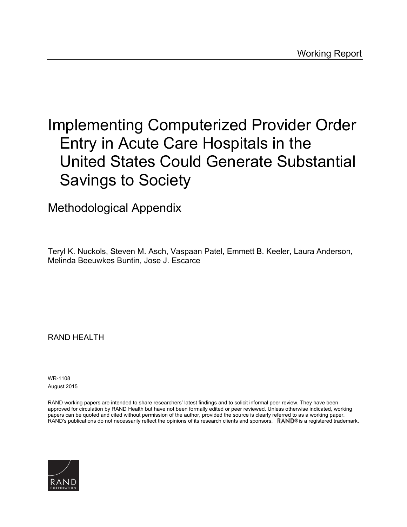# Implementing Computerized Provider Order Entry in Acute Care Hospitals in the United States Could Generate Substantial Savings to Society

Methodological Appendix

Teryl K. Nuckols, Steven M. Asch, Vaspaan Patel, Emmett B. Keeler, Laura Anderson, Melinda Beeuwkes Buntin, Jose J. Escarce

RAND HEALTH

WR-1108 August 2015

RAND working papers are intended to share researchers' latest findings and to solicit informal peer review. They have been approved for circulation by RAND Health but have not been formally edited or peer reviewed. Unless otherwise indicated, working papers can be quoted and cited without permission of the author, provided the source is clearly referred to as a working paper. RAND's publications do not necessarily reflect the opinions of its research clients and sponsors.  $RAND<sup>®</sup>$  is a registered trademark.

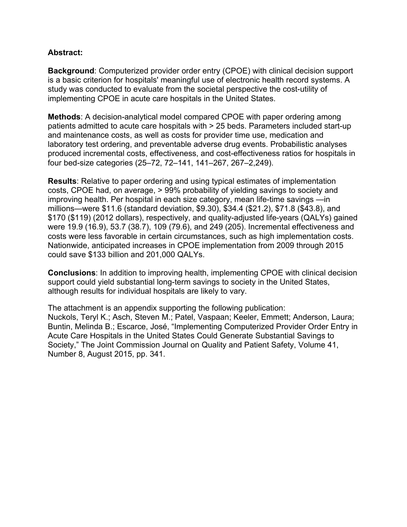# **Abstract:**

**Background**: Computerized provider order entry (CPOE) with clinical decision support is a basic criterion for hospitals' meaningful use of electronic health record systems. A study was conducted to evaluate from the societal perspective the cost-utility of implementing CPOE in acute care hospitals in the United States.

**Methods**: A decision-analytical model compared CPOE with paper ordering among patients admitted to acute care hospitals with > 25 beds. Parameters included start-up and maintenance costs, as well as costs for provider time use, medication and laboratory test ordering, and preventable adverse drug events. Probabilistic analyses produced incremental costs, effectiveness, and cost-effectiveness ratios for hospitals in four bed-size categories (25–72, 72–141, 141–267, 267–2,249).

**Results**: Relative to paper ordering and using typical estimates of implementation costs, CPOE had, on average, > 99% probability of yielding savings to society and improving health. Per hospital in each size category, mean life-time savings —in millions—were \$11.6 (standard deviation, \$9.30), \$34.4 (\$21.2), \$71.8 (\$43.8), and \$170 (\$119) (2012 dollars), respectively, and quality-adjusted life-years (QALYs) gained were 19.9 (16.9), 53.7 (38.7), 109 (79.6), and 249 (205). Incremental effectiveness and costs were less favorable in certain circumstances, such as high implementation costs. Nationwide, anticipated increases in CPOE implementation from 2009 through 2015 could save \$133 billion and 201,000 QALYs.

**Conclusions**: In addition to improving health, implementing CPOE with clinical decision support could yield substantial long-term savings to society in the United States, although results for individual hospitals are likely to vary.

The attachment is an appendix supporting the following publication: Nuckols, Teryl K.; Asch, Steven M.; Patel, Vaspaan; Keeler, Emmett; Anderson, Laura; Buntin, Melinda B.; Escarce, José, "Implementing Computerized Provider Order Entry in Acute Care Hospitals in the United States Could Generate Substantial Savings to Society," The Joint Commission Journal on Quality and Patient Safety, Volume 41, Number 8, August 2015, pp. 341.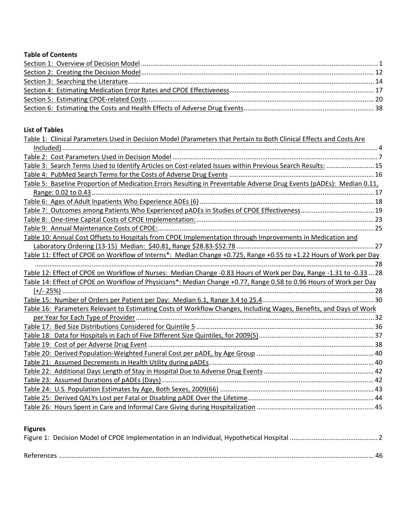## **Table of Contents**

# **List of Tables**

| Table 1: Clinical Parameters Used in Decision Model (Parameters that Pertain to Both Clinical Effects and Costs Are  |  |
|----------------------------------------------------------------------------------------------------------------------|--|
|                                                                                                                      |  |
|                                                                                                                      |  |
| Table 3: Search Terms Used to Identify Articles on Cost-related Issues within Previous Search Results:  15           |  |
|                                                                                                                      |  |
| Table 5: Baseline Proportion of Medication Errors Resulting in Preventable Adverse Drug Events (pADEs): Median 0.11, |  |
|                                                                                                                      |  |
|                                                                                                                      |  |
|                                                                                                                      |  |
|                                                                                                                      |  |
|                                                                                                                      |  |
| Table 10: Annual Cost Offsets to Hospitals from CPOE Implementation through Improvements in Medication and           |  |
|                                                                                                                      |  |
| Table 11: Effect of CPOE on Workflow of Interns*: Median Change +0.725, Range +0.55 to +1.22 Hours of Work per Day   |  |
|                                                                                                                      |  |
| Table 12: Effect of CPOE on Workflow of Nurses: Median Change -0.83 Hours of Work per Day, Range -1.31 to -0.33  28  |  |
| Table 14: Effect of CPOE on Workflow of Physicians*: Median Change +0.77, Range 0.58 to 0.96 Hours of Work per Day   |  |
|                                                                                                                      |  |
|                                                                                                                      |  |
| Table 16: Parameters Relevant to Estimating Costs of Workflow Changes, Including Wages, Benefits, and Days of Work   |  |
|                                                                                                                      |  |
|                                                                                                                      |  |
|                                                                                                                      |  |
|                                                                                                                      |  |
|                                                                                                                      |  |
|                                                                                                                      |  |
|                                                                                                                      |  |
|                                                                                                                      |  |
|                                                                                                                      |  |
|                                                                                                                      |  |
|                                                                                                                      |  |

# **Figures**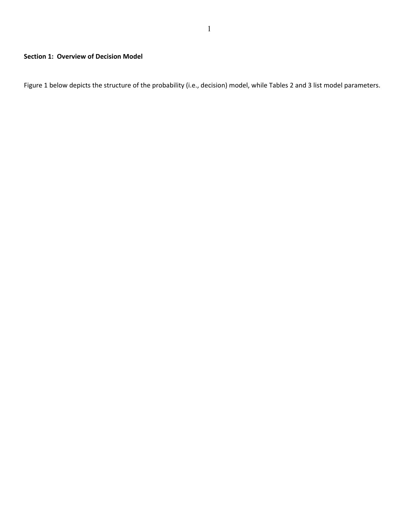Figure 1 below depicts the structure of the probability (i.e., decision) model, while Tables 2 and 3 list model parameters.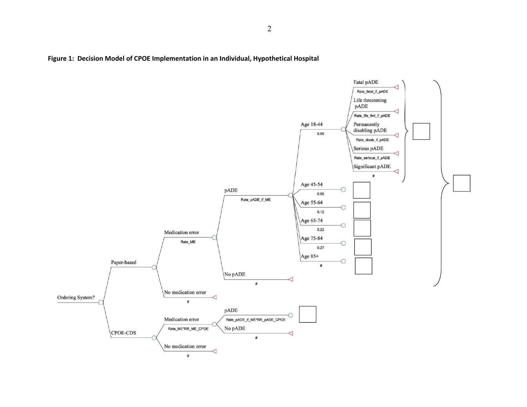

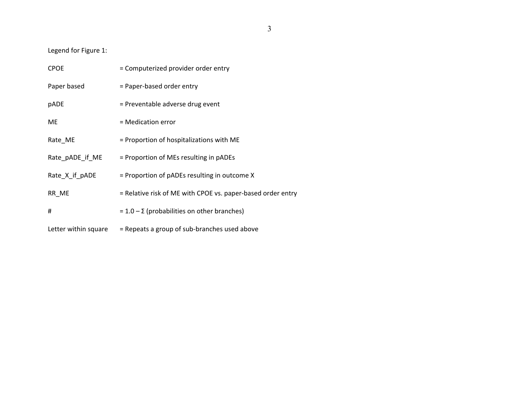Legend for Figure 1:

| <b>CPOE</b>          | = Computerized provider order entry                         |
|----------------------|-------------------------------------------------------------|
| Paper based          | = Paper-based order entry                                   |
| pADE                 | = Preventable adverse drug event                            |
| ME.                  | = Medication error                                          |
| Rate_ME              | = Proportion of hospitalizations with ME                    |
| Rate pADE if ME      | = Proportion of MEs resulting in pADEs                      |
| Rate_X_if_pADE       | $=$ Proportion of pADEs resulting in outcome X              |
| RR ME                | = Relative risk of ME with CPOE vs. paper-based order entry |
| #                    | $= 1.0 - \Sigma$ (probabilities on other branches)          |
| Letter within square | = Repeats a group of sub-branches used above                |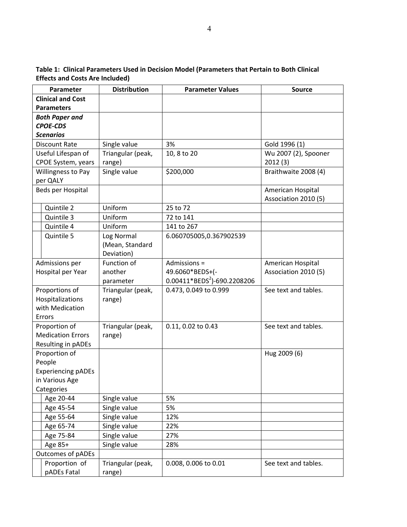| Parameter                 | <b>Distribution</b> | <b>Parameter Values</b>      | <b>Source</b>        |
|---------------------------|---------------------|------------------------------|----------------------|
| <b>Clinical and Cost</b>  |                     |                              |                      |
| <b>Parameters</b>         |                     |                              |                      |
| <b>Both Paper and</b>     |                     |                              |                      |
| <b>CPOE-CDS</b>           |                     |                              |                      |
| <b>Scenarios</b>          |                     |                              |                      |
| <b>Discount Rate</b>      | Single value        | 3%                           | Gold 1996 (1)        |
| Useful Lifespan of        | Triangular (peak,   | 10, 8 to 20                  | Wu 2007 (2), Spooner |
| CPOE System, years        | range)              |                              | 2012(3)              |
| Willingness to Pay        | Single value        | \$200,000                    | Braithwaite 2008 (4) |
| per QALY                  |                     |                              |                      |
| Beds per Hospital         |                     |                              | American Hospital    |
|                           |                     |                              | Association 2010 (5) |
| Quintile 2                | Uniform             | 25 to 72                     |                      |
| Quintile 3                | Uniform             | 72 to 141                    |                      |
| Quintile 4                | Uniform             | 141 to 267                   |                      |
| Quintile 5                | Log Normal          | 6.060705005,0.367902539      |                      |
|                           | (Mean, Standard     |                              |                      |
|                           | Deviation)          |                              |                      |
| Admissions per            | Function of         | Admissions =                 | American Hospital    |
| Hospital per Year         | another             | 49.6060*BEDS+(-              | Association 2010 (5) |
|                           | parameter           | $0.00411*BEDS2$ -690.2208206 |                      |
| Proportions of            | Triangular (peak,   | 0.473, 0.049 to 0.999        | See text and tables. |
| Hospitalizations          | range)              |                              |                      |
| with Medication           |                     |                              |                      |
| Errors                    |                     |                              |                      |
| Proportion of             | Triangular (peak,   | 0.11, 0.02 to 0.43           | See text and tables. |
| <b>Medication Errors</b>  | range)              |                              |                      |
| Resulting in pADEs        |                     |                              |                      |
| Proportion of             |                     |                              | Hug 2009 (6)         |
| People                    |                     |                              |                      |
| <b>Experiencing pADEs</b> |                     |                              |                      |
| in Various Age            |                     |                              |                      |
| Categories                |                     |                              |                      |
| Age 20-44                 | Single value        | 5%                           |                      |
| Age 45-54                 | Single value        | 5%                           |                      |
| Age 55-64                 | Single value        | 12%                          |                      |
| Age 65-74                 | Single value        | 22%                          |                      |
| Age 75-84                 | Single value        | 27%                          |                      |
| Age 85+                   | Single value        | 28%                          |                      |
| Outcomes of pADEs         |                     |                              |                      |
| Proportion of             | Triangular (peak,   | 0.008, 0.006 to 0.01         | See text and tables. |
| pADEs Fatal               | range)              |                              |                      |

**Table 1: Clinical Parameters Used in Decision Model (Parameters that Pertain to Both Clinical Effects and Costs Are Included)**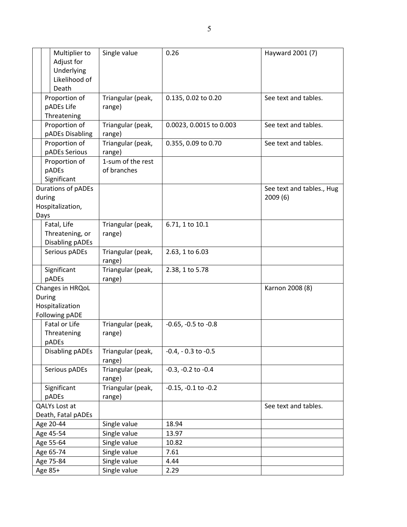| Multiplier to<br>Adjust for      | Single value                | 0.26                       | Hayward 2001 (7)          |
|----------------------------------|-----------------------------|----------------------------|---------------------------|
| Underlying                       |                             |                            |                           |
| Likelihood of                    |                             |                            |                           |
| Death                            |                             |                            |                           |
| Proportion of                    | Triangular (peak,           | 0.135, 0.02 to 0.20        | See text and tables.      |
| pADEs Life                       | range)                      |                            |                           |
| Threatening                      |                             |                            |                           |
| Proportion of<br>pADEs Disabling | Triangular (peak,<br>range) | 0.0023, 0.0015 to 0.003    | See text and tables.      |
| Proportion of<br>pADEs Serious   | Triangular (peak,<br>range) | 0.355, 0.09 to 0.70        | See text and tables.      |
| Proportion of                    | 1-sum of the rest           |                            |                           |
| pADEs                            | of branches                 |                            |                           |
| Significant                      |                             |                            |                           |
| Durations of pADEs               |                             |                            | See text and tables., Hug |
| during                           |                             |                            | 2009(6)                   |
| Hospitalization,                 |                             |                            |                           |
| Days                             |                             |                            |                           |
| Fatal, Life                      | Triangular (peak,           | 6.71, 1 to 10.1            |                           |
| Threatening, or                  | range)                      |                            |                           |
| <b>Disabling pADEs</b>           |                             |                            |                           |
| Serious pADEs                    | Triangular (peak,<br>range) | 2.63, 1 to 6.03            |                           |
| Significant<br>pADEs             | Triangular (peak,<br>range) | 2.38, 1 to 5.78            |                           |
| Changes in HRQoL                 |                             |                            | Karnon 2008 (8)           |
| During                           |                             |                            |                           |
| Hospitalization                  |                             |                            |                           |
| Following pADE                   |                             |                            |                           |
| Fatal or Life                    | Triangular (peak,           | $-0.65$ , $-0.5$ to $-0.8$ |                           |
| Threatening                      | range)                      |                            |                           |
| pADEs                            |                             |                            |                           |
| Disabling pADEs                  | Triangular (peak,<br>range) | $-0.4$ , $-0.3$ to $-0.5$  |                           |
| Serious pADEs                    | Triangular (peak,<br>range) | $-0.3, -0.2$ to $-0.4$     |                           |
| Significant                      | Triangular (peak,           | $-0.15$ , $-0.1$ to $-0.2$ |                           |
| pADEs                            | range)                      |                            |                           |
| QALYs Lost at                    |                             |                            | See text and tables.      |
| Death, Fatal pADEs               |                             |                            |                           |
| Age 20-44                        | Single value                | 18.94                      |                           |
| Age 45-54                        | Single value                | 13.97                      |                           |
| Age 55-64                        | Single value                | 10.82                      |                           |
| Age 65-74                        | Single value                | 7.61                       |                           |
| Age 75-84                        | Single value                | 4.44                       |                           |
| Age 85+                          | Single value                | 2.29                       |                           |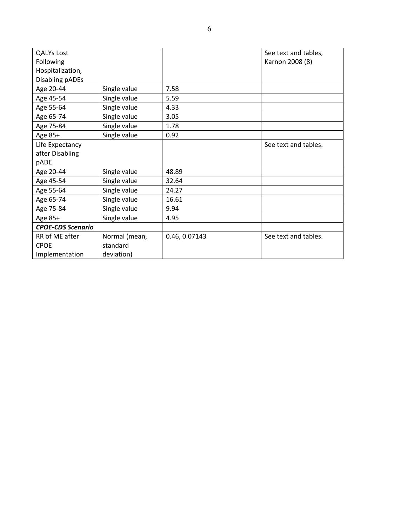| <b>QALYs Lost</b>        |               |               | See text and tables, |
|--------------------------|---------------|---------------|----------------------|
| Following                |               |               | Karnon 2008 (8)      |
| Hospitalization,         |               |               |                      |
| Disabling pADEs          |               |               |                      |
| Age 20-44                | Single value  | 7.58          |                      |
| Age 45-54                | Single value  | 5.59          |                      |
| Age 55-64                | Single value  | 4.33          |                      |
| Age 65-74                | Single value  | 3.05          |                      |
| Age 75-84                | Single value  | 1.78          |                      |
| Age 85+                  | Single value  | 0.92          |                      |
| Life Expectancy          |               |               | See text and tables. |
| after Disabling          |               |               |                      |
| pADE                     |               |               |                      |
| Age 20-44                | Single value  | 48.89         |                      |
| Age 45-54                | Single value  | 32.64         |                      |
| Age 55-64                | Single value  | 24.27         |                      |
| Age 65-74                | Single value  | 16.61         |                      |
| Age 75-84                | Single value  | 9.94          |                      |
| Age 85+                  | Single value  | 4.95          |                      |
| <b>CPOE-CDS Scenario</b> |               |               |                      |
| RR of ME after           | Normal (mean, | 0.46, 0.07143 | See text and tables. |
| <b>CPOE</b>              | standard      |               |                      |
| Implementation           | deviation)    |               |                      |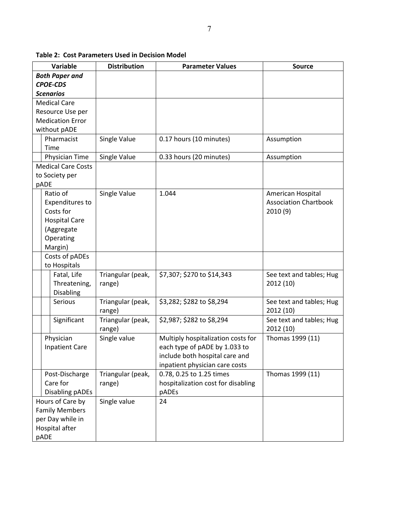| Variable                  | <b>Distribution</b> | <b>Parameter Values</b>            | <b>Source</b>                |
|---------------------------|---------------------|------------------------------------|------------------------------|
| <b>Both Paper and</b>     |                     |                                    |                              |
| <b>CPOE-CDS</b>           |                     |                                    |                              |
| <b>Scenarios</b>          |                     |                                    |                              |
| <b>Medical Care</b>       |                     |                                    |                              |
| Resource Use per          |                     |                                    |                              |
| <b>Medication Error</b>   |                     |                                    |                              |
| without pADE              |                     |                                    |                              |
| Pharmacist                | Single Value        | 0.17 hours (10 minutes)            | Assumption                   |
| Time                      |                     |                                    |                              |
|                           |                     |                                    |                              |
| Physician Time            | Single Value        | 0.33 hours (20 minutes)            | Assumption                   |
| <b>Medical Care Costs</b> |                     |                                    |                              |
| to Society per            |                     |                                    |                              |
| pADE                      |                     |                                    |                              |
| Ratio of                  | Single Value        | 1.044                              | American Hospital            |
| Expenditures to           |                     |                                    | <b>Association Chartbook</b> |
| Costs for                 |                     |                                    | 2010(9)                      |
| <b>Hospital Care</b>      |                     |                                    |                              |
| (Aggregate                |                     |                                    |                              |
| Operating                 |                     |                                    |                              |
| Margin)                   |                     |                                    |                              |
| Costs of pADEs            |                     |                                    |                              |
| to Hospitals              |                     |                                    |                              |
| Fatal, Life               | Triangular (peak,   | \$7,307; \$270 to \$14,343         | See text and tables; Hug     |
| Threatening,              | range)              |                                    | 2012 (10)                    |
| <b>Disabling</b>          |                     |                                    |                              |
| Serious                   | Triangular (peak,   | \$3,282; \$282 to \$8,294          | See text and tables; Hug     |
|                           | range)              |                                    | 2012 (10)                    |
| Significant               | Triangular (peak,   | \$2,987; \$282 to \$8,294          | See text and tables; Hug     |
|                           | range)              |                                    | 2012 (10)                    |
| Physician                 | Single value        | Multiply hospitalization costs for | Thomas 1999 (11)             |
| <b>Inpatient Care</b>     |                     | each type of pADE by 1.033 to      |                              |
|                           |                     |                                    |                              |
|                           |                     | include both hospital care and     |                              |
|                           |                     | inpatient physician care costs     |                              |
| Post-Discharge            | Triangular (peak,   | 0.78, 0.25 to 1.25 times           | Thomas 1999 (11)             |
| Care for                  | range)              | hospitalization cost for disabling |                              |
| Disabling pADEs           |                     | pADEs                              |                              |
| Hours of Care by          | Single value        | 24                                 |                              |
| <b>Family Members</b>     |                     |                                    |                              |
| per Day while in          |                     |                                    |                              |
| Hospital after            |                     |                                    |                              |
| pADE                      |                     |                                    |                              |

**Table 2: Cost Parameters Used in Decision Model**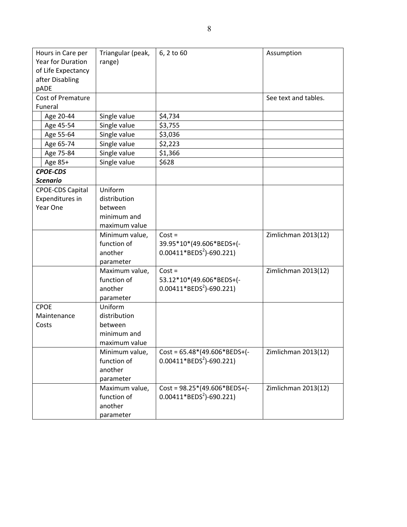| Hours in Care per           | Triangular (peak, | 6, 2 to 60                     | Assumption           |
|-----------------------------|-------------------|--------------------------------|----------------------|
| Year for Duration<br>range) |                   |                                |                      |
| of Life Expectancy          |                   |                                |                      |
| after Disabling             |                   |                                |                      |
| pADE                        |                   |                                |                      |
| <b>Cost of Premature</b>    |                   |                                | See text and tables. |
| Funeral                     |                   |                                |                      |
| Age 20-44                   | Single value      | \$4,734                        |                      |
| Age 45-54                   | Single value      | \$3,755                        |                      |
| Age 55-64                   | Single value      | \$3,036                        |                      |
| Age 65-74                   | Single value      | \$2,223                        |                      |
| Age 75-84                   | Single value      | \$1,366                        |                      |
| Age 85+                     | Single value      | \$628                          |                      |
| <b>CPOE-CDS</b>             |                   |                                |                      |
| <b>Scenario</b>             |                   |                                |                      |
| <b>CPOE-CDS Capital</b>     | Uniform           |                                |                      |
| Expenditures in             | distribution      |                                |                      |
| Year One                    | between           |                                |                      |
|                             | minimum and       |                                |                      |
|                             | maximum value     |                                |                      |
|                             | Minimum value,    | $Cost =$                       | Zimlichman 2013(12)  |
|                             | function of       | 39.95*10*(49.606*BEDS+(-       |                      |
|                             | another           | $0.00411*BEDS2$ -690.221)      |                      |
|                             | parameter         |                                |                      |
|                             | Maximum value,    | $Cost =$                       | Zimlichman 2013(12)  |
|                             | function of       | 53.12*10*(49.606*BEDS+(-       |                      |
|                             | another           | $0.00411*BEDS2$ -690.221)      |                      |
|                             | parameter         |                                |                      |
| <b>CPOE</b>                 | Uniform           |                                |                      |
| Maintenance                 | distribution      |                                |                      |
| Costs                       | between           |                                |                      |
|                             | minimum and       |                                |                      |
|                             | maximum value     |                                |                      |
|                             | Minimum value,    | $Cost = 65.48*(49.606*BEDS+(-$ | Zimlichman 2013(12)  |
|                             | function of       | $0.00411*BEDS2$ -690.221)      |                      |
|                             | another           |                                |                      |
|                             | parameter         |                                |                      |
|                             | Maximum value,    | $Cost = 98.25*(49.606*BEDS+(-$ | Zimlichman 2013(12)  |
|                             | function of       | $0.00411*BEDS2$ -690.221)      |                      |
|                             | another           |                                |                      |
|                             | parameter         |                                |                      |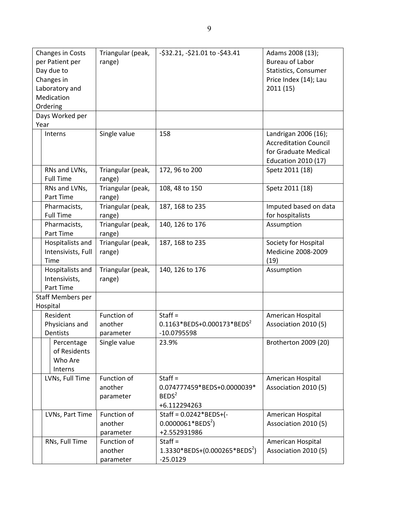| Changes in Costs<br>per Patient per<br>Day due to<br>Changes in<br>Laboratory and<br>Medication | Triangular (peak,<br>range)         | -\$32.21, -\$21.01 to -\$43.41                                                | Adams 2008 (13);<br><b>Bureau of Labor</b><br>Statistics, Consumer<br>Price Index (14); Lau<br>2011 (15)   |
|-------------------------------------------------------------------------------------------------|-------------------------------------|-------------------------------------------------------------------------------|------------------------------------------------------------------------------------------------------------|
| Ordering                                                                                        |                                     |                                                                               |                                                                                                            |
| Days Worked per                                                                                 |                                     |                                                                               |                                                                                                            |
| Year                                                                                            |                                     |                                                                               |                                                                                                            |
| Interns                                                                                         | Single value                        | 158                                                                           | Landrigan 2006 (16);<br><b>Accreditation Council</b><br>for Graduate Medical<br><b>Education 2010 (17)</b> |
| RNs and LVNs,<br><b>Full Time</b>                                                               | Triangular (peak,<br>range)         | 172, 96 to 200                                                                | Spetz 2011 (18)                                                                                            |
| RNs and LVNs,<br>Part Time                                                                      | Triangular (peak,<br>range)         | 108, 48 to 150                                                                | Spetz 2011 (18)                                                                                            |
| Pharmacists,<br><b>Full Time</b>                                                                | Triangular (peak,<br>range)         | 187, 168 to 235                                                               | Imputed based on data<br>for hospitalists                                                                  |
| Pharmacists,                                                                                    | Triangular (peak,                   | 140, 126 to 176                                                               | Assumption                                                                                                 |
| Part Time                                                                                       | range)                              |                                                                               |                                                                                                            |
| Hospitalists and<br>Intensivists, Full<br>Time                                                  | Triangular (peak,<br>range)         | 187, 168 to 235                                                               | Society for Hospital<br>Medicine 2008-2009<br>(19)                                                         |
| Hospitalists and<br>Intensivists,<br>Part Time                                                  | Triangular (peak,<br>range)         | 140, 126 to 176                                                               | Assumption                                                                                                 |
| Staff Members per<br>Hospital                                                                   |                                     |                                                                               |                                                                                                            |
| Resident<br>Physicians and<br>Dentists                                                          | Function of<br>another<br>parameter | Staff $=$<br>$0.1163*BEDS+0.000173*BEDS2$<br>$-10.0795598$                    | American Hospital<br>Association 2010 (5)                                                                  |
| Percentage<br>of Residents<br>Who Are<br>Interns                                                | Single value                        | 23.9%                                                                         | Brotherton 2009 (20)                                                                                       |
| LVNs, Full Time                                                                                 | Function of<br>another<br>parameter | Staff $=$<br>0.074777459*BEDS+0.0000039*<br>BEDS <sup>2</sup><br>+6.112294263 | American Hospital<br>Association 2010 (5)                                                                  |
| LVNs, Part Time                                                                                 | Function of<br>another<br>parameter | Staff = $0.0242*BEDS+(-$<br>$0.0000061*BEDS2$ )<br>+2.552931986               | American Hospital<br>Association 2010 (5)                                                                  |
| RNs, Full Time                                                                                  | Function of<br>another<br>parameter | Staff $=$<br>$1.3330*BEDS+(0.000265*BEDS2)$<br>$-25.0129$                     | American Hospital<br>Association 2010 (5)                                                                  |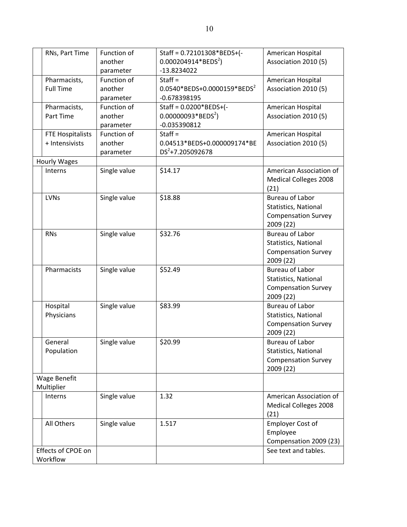| $0.000204914*BEDS2$<br>another<br>Association 2010 (5)<br>$-13.8234022$<br>parameter<br>Function of<br>Pharmacists,<br>$Start =$<br>American Hospital<br>0.0540*BEDS+0.0000159*BEDS <sup>2</sup><br><b>Full Time</b><br>another<br>Association 2010 (5)<br>$-0.678398195$<br>parameter<br>Staff = 0.0200*BEDS+(-<br>Function of<br>American Hospital<br>Pharmacists,<br>$0.00000093*BEDS2)$<br>another<br>Association 2010 (5)<br>Part Time<br>$-0.035390812$<br>parameter<br>Function of<br>Staff $=$<br>American Hospital<br><b>FTE Hospitalists</b><br>+ Intensivists<br>another<br>0.04513*BEDS+0.000009174*BE<br>Association 2010 (5)<br>DS <sup>2</sup> +7.205092678<br>parameter<br>Hourly Wages<br>\$14.17<br>Interns<br>Single value<br>American Association of<br><b>Medical Colleges 2008</b><br>(21)<br>\$18.88<br><b>Bureau of Labor</b><br><b>LVNs</b><br>Single value<br>Statistics, National<br><b>Compensation Survey</b><br>2009 (22)<br>\$32.76<br><b>Bureau of Labor</b><br><b>RNs</b><br>Single value<br>Statistics, National<br><b>Compensation Survey</b><br>2009 (22)<br>Pharmacists<br>Single value<br>\$52.49<br><b>Bureau of Labor</b><br>Statistics, National<br><b>Compensation Survey</b><br>2009 (22)<br>Hospital<br>Single value<br>\$83.99<br><b>Bureau of Labor</b><br>Physicians<br>Statistics, National<br><b>Compensation Survey</b><br>2009 (22)<br>\$20.99<br>General<br>Single value<br><b>Bureau of Labor</b><br>Population<br>Statistics, National<br><b>Compensation Survey</b><br>2009 (22)<br><b>Wage Benefit</b><br>Multiplier<br>1.32<br>American Association of<br>Interns<br>Single value<br><b>Medical Colleges 2008</b><br>(21)<br><b>Employer Cost of</b><br>Single value<br>All Others<br>1.517<br>Employee<br>Compensation 2009 (23)<br>Effects of CPOE on<br>See text and tables. |  |                |             |                            |                   |
|------------------------------------------------------------------------------------------------------------------------------------------------------------------------------------------------------------------------------------------------------------------------------------------------------------------------------------------------------------------------------------------------------------------------------------------------------------------------------------------------------------------------------------------------------------------------------------------------------------------------------------------------------------------------------------------------------------------------------------------------------------------------------------------------------------------------------------------------------------------------------------------------------------------------------------------------------------------------------------------------------------------------------------------------------------------------------------------------------------------------------------------------------------------------------------------------------------------------------------------------------------------------------------------------------------------------------------------------------------------------------------------------------------------------------------------------------------------------------------------------------------------------------------------------------------------------------------------------------------------------------------------------------------------------------------------------------------------------------------------------------------------------------------------------------------------------------------------|--|----------------|-------------|----------------------------|-------------------|
|                                                                                                                                                                                                                                                                                                                                                                                                                                                                                                                                                                                                                                                                                                                                                                                                                                                                                                                                                                                                                                                                                                                                                                                                                                                                                                                                                                                                                                                                                                                                                                                                                                                                                                                                                                                                                                          |  | RNs, Part Time | Function of | Staff = 0.72101308*BEDS+(- | American Hospital |
|                                                                                                                                                                                                                                                                                                                                                                                                                                                                                                                                                                                                                                                                                                                                                                                                                                                                                                                                                                                                                                                                                                                                                                                                                                                                                                                                                                                                                                                                                                                                                                                                                                                                                                                                                                                                                                          |  |                |             |                            |                   |
|                                                                                                                                                                                                                                                                                                                                                                                                                                                                                                                                                                                                                                                                                                                                                                                                                                                                                                                                                                                                                                                                                                                                                                                                                                                                                                                                                                                                                                                                                                                                                                                                                                                                                                                                                                                                                                          |  |                |             |                            |                   |
|                                                                                                                                                                                                                                                                                                                                                                                                                                                                                                                                                                                                                                                                                                                                                                                                                                                                                                                                                                                                                                                                                                                                                                                                                                                                                                                                                                                                                                                                                                                                                                                                                                                                                                                                                                                                                                          |  |                |             |                            |                   |
|                                                                                                                                                                                                                                                                                                                                                                                                                                                                                                                                                                                                                                                                                                                                                                                                                                                                                                                                                                                                                                                                                                                                                                                                                                                                                                                                                                                                                                                                                                                                                                                                                                                                                                                                                                                                                                          |  |                |             |                            |                   |
|                                                                                                                                                                                                                                                                                                                                                                                                                                                                                                                                                                                                                                                                                                                                                                                                                                                                                                                                                                                                                                                                                                                                                                                                                                                                                                                                                                                                                                                                                                                                                                                                                                                                                                                                                                                                                                          |  |                |             |                            |                   |
|                                                                                                                                                                                                                                                                                                                                                                                                                                                                                                                                                                                                                                                                                                                                                                                                                                                                                                                                                                                                                                                                                                                                                                                                                                                                                                                                                                                                                                                                                                                                                                                                                                                                                                                                                                                                                                          |  |                |             |                            |                   |
|                                                                                                                                                                                                                                                                                                                                                                                                                                                                                                                                                                                                                                                                                                                                                                                                                                                                                                                                                                                                                                                                                                                                                                                                                                                                                                                                                                                                                                                                                                                                                                                                                                                                                                                                                                                                                                          |  |                |             |                            |                   |
|                                                                                                                                                                                                                                                                                                                                                                                                                                                                                                                                                                                                                                                                                                                                                                                                                                                                                                                                                                                                                                                                                                                                                                                                                                                                                                                                                                                                                                                                                                                                                                                                                                                                                                                                                                                                                                          |  |                |             |                            |                   |
|                                                                                                                                                                                                                                                                                                                                                                                                                                                                                                                                                                                                                                                                                                                                                                                                                                                                                                                                                                                                                                                                                                                                                                                                                                                                                                                                                                                                                                                                                                                                                                                                                                                                                                                                                                                                                                          |  |                |             |                            |                   |
|                                                                                                                                                                                                                                                                                                                                                                                                                                                                                                                                                                                                                                                                                                                                                                                                                                                                                                                                                                                                                                                                                                                                                                                                                                                                                                                                                                                                                                                                                                                                                                                                                                                                                                                                                                                                                                          |  |                |             |                            |                   |
|                                                                                                                                                                                                                                                                                                                                                                                                                                                                                                                                                                                                                                                                                                                                                                                                                                                                                                                                                                                                                                                                                                                                                                                                                                                                                                                                                                                                                                                                                                                                                                                                                                                                                                                                                                                                                                          |  |                |             |                            |                   |
|                                                                                                                                                                                                                                                                                                                                                                                                                                                                                                                                                                                                                                                                                                                                                                                                                                                                                                                                                                                                                                                                                                                                                                                                                                                                                                                                                                                                                                                                                                                                                                                                                                                                                                                                                                                                                                          |  |                |             |                            |                   |
|                                                                                                                                                                                                                                                                                                                                                                                                                                                                                                                                                                                                                                                                                                                                                                                                                                                                                                                                                                                                                                                                                                                                                                                                                                                                                                                                                                                                                                                                                                                                                                                                                                                                                                                                                                                                                                          |  |                |             |                            |                   |
|                                                                                                                                                                                                                                                                                                                                                                                                                                                                                                                                                                                                                                                                                                                                                                                                                                                                                                                                                                                                                                                                                                                                                                                                                                                                                                                                                                                                                                                                                                                                                                                                                                                                                                                                                                                                                                          |  |                |             |                            |                   |
|                                                                                                                                                                                                                                                                                                                                                                                                                                                                                                                                                                                                                                                                                                                                                                                                                                                                                                                                                                                                                                                                                                                                                                                                                                                                                                                                                                                                                                                                                                                                                                                                                                                                                                                                                                                                                                          |  |                |             |                            |                   |
|                                                                                                                                                                                                                                                                                                                                                                                                                                                                                                                                                                                                                                                                                                                                                                                                                                                                                                                                                                                                                                                                                                                                                                                                                                                                                                                                                                                                                                                                                                                                                                                                                                                                                                                                                                                                                                          |  |                |             |                            |                   |
|                                                                                                                                                                                                                                                                                                                                                                                                                                                                                                                                                                                                                                                                                                                                                                                                                                                                                                                                                                                                                                                                                                                                                                                                                                                                                                                                                                                                                                                                                                                                                                                                                                                                                                                                                                                                                                          |  |                |             |                            |                   |
|                                                                                                                                                                                                                                                                                                                                                                                                                                                                                                                                                                                                                                                                                                                                                                                                                                                                                                                                                                                                                                                                                                                                                                                                                                                                                                                                                                                                                                                                                                                                                                                                                                                                                                                                                                                                                                          |  |                |             |                            |                   |
|                                                                                                                                                                                                                                                                                                                                                                                                                                                                                                                                                                                                                                                                                                                                                                                                                                                                                                                                                                                                                                                                                                                                                                                                                                                                                                                                                                                                                                                                                                                                                                                                                                                                                                                                                                                                                                          |  |                |             |                            |                   |
|                                                                                                                                                                                                                                                                                                                                                                                                                                                                                                                                                                                                                                                                                                                                                                                                                                                                                                                                                                                                                                                                                                                                                                                                                                                                                                                                                                                                                                                                                                                                                                                                                                                                                                                                                                                                                                          |  |                |             |                            |                   |
|                                                                                                                                                                                                                                                                                                                                                                                                                                                                                                                                                                                                                                                                                                                                                                                                                                                                                                                                                                                                                                                                                                                                                                                                                                                                                                                                                                                                                                                                                                                                                                                                                                                                                                                                                                                                                                          |  |                |             |                            |                   |
|                                                                                                                                                                                                                                                                                                                                                                                                                                                                                                                                                                                                                                                                                                                                                                                                                                                                                                                                                                                                                                                                                                                                                                                                                                                                                                                                                                                                                                                                                                                                                                                                                                                                                                                                                                                                                                          |  |                |             |                            |                   |
|                                                                                                                                                                                                                                                                                                                                                                                                                                                                                                                                                                                                                                                                                                                                                                                                                                                                                                                                                                                                                                                                                                                                                                                                                                                                                                                                                                                                                                                                                                                                                                                                                                                                                                                                                                                                                                          |  |                |             |                            |                   |
|                                                                                                                                                                                                                                                                                                                                                                                                                                                                                                                                                                                                                                                                                                                                                                                                                                                                                                                                                                                                                                                                                                                                                                                                                                                                                                                                                                                                                                                                                                                                                                                                                                                                                                                                                                                                                                          |  |                |             |                            |                   |
|                                                                                                                                                                                                                                                                                                                                                                                                                                                                                                                                                                                                                                                                                                                                                                                                                                                                                                                                                                                                                                                                                                                                                                                                                                                                                                                                                                                                                                                                                                                                                                                                                                                                                                                                                                                                                                          |  |                |             |                            |                   |
|                                                                                                                                                                                                                                                                                                                                                                                                                                                                                                                                                                                                                                                                                                                                                                                                                                                                                                                                                                                                                                                                                                                                                                                                                                                                                                                                                                                                                                                                                                                                                                                                                                                                                                                                                                                                                                          |  |                |             |                            |                   |
|                                                                                                                                                                                                                                                                                                                                                                                                                                                                                                                                                                                                                                                                                                                                                                                                                                                                                                                                                                                                                                                                                                                                                                                                                                                                                                                                                                                                                                                                                                                                                                                                                                                                                                                                                                                                                                          |  |                |             |                            |                   |
|                                                                                                                                                                                                                                                                                                                                                                                                                                                                                                                                                                                                                                                                                                                                                                                                                                                                                                                                                                                                                                                                                                                                                                                                                                                                                                                                                                                                                                                                                                                                                                                                                                                                                                                                                                                                                                          |  |                |             |                            |                   |
|                                                                                                                                                                                                                                                                                                                                                                                                                                                                                                                                                                                                                                                                                                                                                                                                                                                                                                                                                                                                                                                                                                                                                                                                                                                                                                                                                                                                                                                                                                                                                                                                                                                                                                                                                                                                                                          |  |                |             |                            |                   |
|                                                                                                                                                                                                                                                                                                                                                                                                                                                                                                                                                                                                                                                                                                                                                                                                                                                                                                                                                                                                                                                                                                                                                                                                                                                                                                                                                                                                                                                                                                                                                                                                                                                                                                                                                                                                                                          |  |                |             |                            |                   |
|                                                                                                                                                                                                                                                                                                                                                                                                                                                                                                                                                                                                                                                                                                                                                                                                                                                                                                                                                                                                                                                                                                                                                                                                                                                                                                                                                                                                                                                                                                                                                                                                                                                                                                                                                                                                                                          |  |                |             |                            |                   |
|                                                                                                                                                                                                                                                                                                                                                                                                                                                                                                                                                                                                                                                                                                                                                                                                                                                                                                                                                                                                                                                                                                                                                                                                                                                                                                                                                                                                                                                                                                                                                                                                                                                                                                                                                                                                                                          |  |                |             |                            |                   |
|                                                                                                                                                                                                                                                                                                                                                                                                                                                                                                                                                                                                                                                                                                                                                                                                                                                                                                                                                                                                                                                                                                                                                                                                                                                                                                                                                                                                                                                                                                                                                                                                                                                                                                                                                                                                                                          |  |                |             |                            |                   |
|                                                                                                                                                                                                                                                                                                                                                                                                                                                                                                                                                                                                                                                                                                                                                                                                                                                                                                                                                                                                                                                                                                                                                                                                                                                                                                                                                                                                                                                                                                                                                                                                                                                                                                                                                                                                                                          |  |                |             |                            |                   |
|                                                                                                                                                                                                                                                                                                                                                                                                                                                                                                                                                                                                                                                                                                                                                                                                                                                                                                                                                                                                                                                                                                                                                                                                                                                                                                                                                                                                                                                                                                                                                                                                                                                                                                                                                                                                                                          |  |                |             |                            |                   |
|                                                                                                                                                                                                                                                                                                                                                                                                                                                                                                                                                                                                                                                                                                                                                                                                                                                                                                                                                                                                                                                                                                                                                                                                                                                                                                                                                                                                                                                                                                                                                                                                                                                                                                                                                                                                                                          |  |                |             |                            |                   |
|                                                                                                                                                                                                                                                                                                                                                                                                                                                                                                                                                                                                                                                                                                                                                                                                                                                                                                                                                                                                                                                                                                                                                                                                                                                                                                                                                                                                                                                                                                                                                                                                                                                                                                                                                                                                                                          |  |                |             |                            |                   |
|                                                                                                                                                                                                                                                                                                                                                                                                                                                                                                                                                                                                                                                                                                                                                                                                                                                                                                                                                                                                                                                                                                                                                                                                                                                                                                                                                                                                                                                                                                                                                                                                                                                                                                                                                                                                                                          |  |                |             |                            |                   |
|                                                                                                                                                                                                                                                                                                                                                                                                                                                                                                                                                                                                                                                                                                                                                                                                                                                                                                                                                                                                                                                                                                                                                                                                                                                                                                                                                                                                                                                                                                                                                                                                                                                                                                                                                                                                                                          |  |                |             |                            |                   |
|                                                                                                                                                                                                                                                                                                                                                                                                                                                                                                                                                                                                                                                                                                                                                                                                                                                                                                                                                                                                                                                                                                                                                                                                                                                                                                                                                                                                                                                                                                                                                                                                                                                                                                                                                                                                                                          |  |                |             |                            |                   |
|                                                                                                                                                                                                                                                                                                                                                                                                                                                                                                                                                                                                                                                                                                                                                                                                                                                                                                                                                                                                                                                                                                                                                                                                                                                                                                                                                                                                                                                                                                                                                                                                                                                                                                                                                                                                                                          |  |                |             |                            |                   |
|                                                                                                                                                                                                                                                                                                                                                                                                                                                                                                                                                                                                                                                                                                                                                                                                                                                                                                                                                                                                                                                                                                                                                                                                                                                                                                                                                                                                                                                                                                                                                                                                                                                                                                                                                                                                                                          |  |                |             |                            |                   |
|                                                                                                                                                                                                                                                                                                                                                                                                                                                                                                                                                                                                                                                                                                                                                                                                                                                                                                                                                                                                                                                                                                                                                                                                                                                                                                                                                                                                                                                                                                                                                                                                                                                                                                                                                                                                                                          |  |                |             |                            |                   |
|                                                                                                                                                                                                                                                                                                                                                                                                                                                                                                                                                                                                                                                                                                                                                                                                                                                                                                                                                                                                                                                                                                                                                                                                                                                                                                                                                                                                                                                                                                                                                                                                                                                                                                                                                                                                                                          |  |                |             |                            |                   |
|                                                                                                                                                                                                                                                                                                                                                                                                                                                                                                                                                                                                                                                                                                                                                                                                                                                                                                                                                                                                                                                                                                                                                                                                                                                                                                                                                                                                                                                                                                                                                                                                                                                                                                                                                                                                                                          |  |                |             |                            |                   |
|                                                                                                                                                                                                                                                                                                                                                                                                                                                                                                                                                                                                                                                                                                                                                                                                                                                                                                                                                                                                                                                                                                                                                                                                                                                                                                                                                                                                                                                                                                                                                                                                                                                                                                                                                                                                                                          |  |                |             |                            |                   |
|                                                                                                                                                                                                                                                                                                                                                                                                                                                                                                                                                                                                                                                                                                                                                                                                                                                                                                                                                                                                                                                                                                                                                                                                                                                                                                                                                                                                                                                                                                                                                                                                                                                                                                                                                                                                                                          |  | Workflow       |             |                            |                   |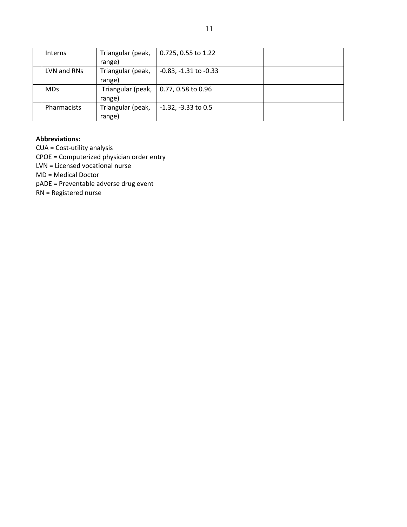| <b>Interns</b> | Triangular (peak, | 0.725, 0.55 to 1.22          |  |
|----------------|-------------------|------------------------------|--|
|                | range)            |                              |  |
| LVN and RNs    | Triangular (peak, | $-0.83$ , $-1.31$ to $-0.33$ |  |
|                | range)            |                              |  |
| <b>MDs</b>     | Triangular (peak, | $\vert$ 0.77, 0.58 to 0.96   |  |
|                | range)            |                              |  |
| Pharmacists    | Triangular (peak, | $-1.32$ , $-3.33$ to 0.5     |  |
|                | range)            |                              |  |

#### **Abbreviations:**

CUA = Cost‐utility analysis CPOE = Computerized physician order entry LVN = Licensed vocational nurse MD = Medical Doctor pADE = Preventable adverse drug event RN = Registered nurse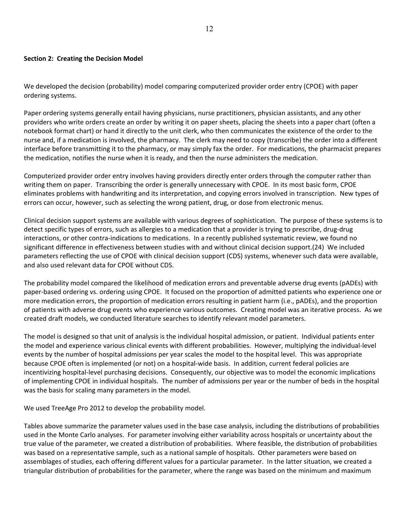#### **Section 2: Creating the Decision Model**

We developed the decision (probability) model comparing computerized provider order entry (CPOE) with paper ordering systems.

Paper ordering systems generally entail having physicians, nurse practitioners, physician assistants, and any other providers who write orders create an order by writing it on paper sheets, placing the sheets into a paper chart (often a notebook format chart) or hand it directly to the unit clerk, who then communicates the existence of the order to the nurse and, if a medication is involved, the pharmacy. The clerk may need to copy (transcribe) the order into a different interface before transmitting it to the pharmacy, or may simply fax the order. For medications, the pharmacist prepares the medication, notifies the nurse when it is ready, and then the nurse administers the medication.

Computerized provider order entry involves having providers directly enter orders through the computer rather than writing them on paper. Transcribing the order is generally unnecessary with CPOE. In its most basic form, CPOE eliminates problems with handwriting and its interpretation, and copying errors involved in transcription. New types of errors can occur, however, such as selecting the wrong patient, drug, or dose from electronic menus.

Clinical decision support systems are available with various degrees of sophistication. The purpose of these systems is to detect specific types of errors, such as allergies to a medication that a provider is trying to prescribe, drug‐drug interactions, or other contra-indications to medications. In a recently published systematic review, we found no significant difference in effectiveness between studies with and without clinical decision support.(24) We included parameters reflecting the use of CPOE with clinical decision support (CDS) systems, whenever such data were available, and also used relevant data for CPOE without CDS.

The probability model compared the likelihood of medication errors and preventable adverse drug events (pADEs) with paper‐based ordering vs. ordering using CPOE. It focused on the proportion of admitted patients who experience one or more medication errors, the proportion of medication errors resulting in patient harm (i.e., pADEs), and the proportion of patients with adverse drug events who experience various outcomes. Creating model was an iterative process. As we created draft models, we conducted literature searches to identify relevant model parameters.

The model is designed so that unit of analysis is the individual hospital admission, or patient. Individual patients enter the model and experience various clinical events with different probabilities. However, multiplying the individual‐level events by the number of hospital admissions per year scales the model to the hospital level. This was appropriate because CPOE often is implemented (or not) on a hospital‐wide basis. In addition, current federal policies are incentivizing hospital‐level purchasing decisions. Consequently, our objective was to model the economic implications of implementing CPOE in individual hospitals. The number of admissions per year or the number of beds in the hospital was the basis for scaling many parameters in the model.

We used TreeAge Pro 2012 to develop the probability model.

Tables above summarize the parameter values used in the base case analysis, including the distributions of probabilities used in the Monte Carlo analyses. For parameter involving either variability across hospitals or uncertainty about the true value of the parameter, we created a distribution of probabilities. Where feasible, the distribution of probabilities was based on a representative sample, such as a national sample of hospitals. Other parameters were based on assemblages of studies, each offering different values for a particular parameter. In the latter situation, we created a triangular distribution of probabilities for the parameter, where the range was based on the minimum and maximum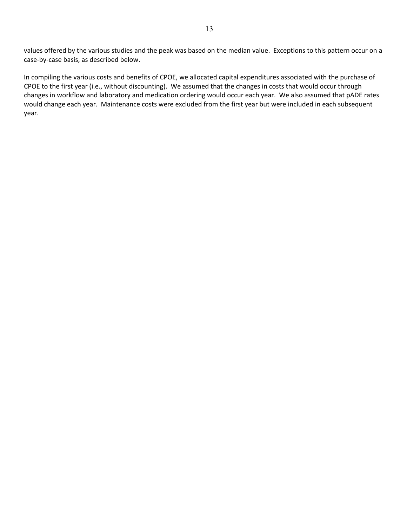values offered by the various studies and the peak was based on the median value. Exceptions to this pattern occur on a case‐by‐case basis, as described below.

In compiling the various costs and benefits of CPOE, we allocated capital expenditures associated with the purchase of CPOE to the first year (i.e., without discounting). We assumed that the changes in costs that would occur through changes in workflow and laboratory and medication ordering would occur each year. We also assumed that pADE rates would change each year. Maintenance costs were excluded from the first year but were included in each subsequent year.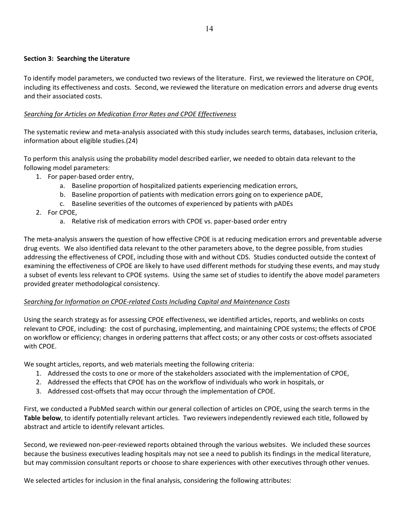## **Section 3: Searching the Literature**

To identify model parameters, we conducted two reviews of the literature. First, we reviewed the literature on CPOE, including its effectiveness and costs. Second, we reviewed the literature on medication errors and adverse drug events and their associated costs.

## *Searching for Articles on Medication Error Rates and CPOE Effectiveness*

The systematic review and meta‐analysis associated with this study includes search terms, databases, inclusion criteria, information about eligible studies.(24)

To perform this analysis using the probability model described earlier, we needed to obtain data relevant to the following model parameters:

- 1. For paper‐based order entry,
	- a. Baseline proportion of hospitalized patients experiencing medication errors,
	- b. Baseline proportion of patients with medication errors going on to experience pADE,
	- c. Baseline severities of the outcomes of experienced by patients with pADEs
- 2. For CPOE,
	- a. Relative risk of medication errors with CPOE vs. paper‐based order entry

The meta-analysis answers the question of how effective CPOE is at reducing medication errors and preventable adverse drug events. We also identified data relevant to the other parameters above, to the degree possible, from studies addressing the effectiveness of CPOE, including those with and without CDS. Studies conducted outside the context of examining the effectiveness of CPOE are likely to have used different methods for studying these events, and may study a subset of events less relevant to CPOE systems. Using the same set of studies to identify the above model parameters provided greater methodological consistency.

## *Searching for Information on CPOE‐related Costs Including Capital and Maintenance Costs*

Using the search strategy as for assessing CPOE effectiveness, we identified articles, reports, and weblinks on costs relevant to CPOE, including: the cost of purchasing, implementing, and maintaining CPOE systems; the effects of CPOE on workflow or efficiency; changes in ordering patterns that affect costs; or any other costs or cost‐offsets associated with CPOE.

We sought articles, reports, and web materials meeting the following criteria:

- 1. Addressed the costs to one or more of the stakeholders associated with the implementation of CPOE,
- 2. Addressed the effects that CPOE has on the workflow of individuals who work in hospitals, or
- 3. Addressed cost-offsets that may occur through the implementation of CPOE.

First, we conducted a PubMed search within our general collection of articles on CPOE, using the search terms in the **Table below**, to identify potentially relevant articles. Two reviewers independently reviewed each title, followed by abstract and article to identify relevant articles.

Second, we reviewed non‐peer‐reviewed reports obtained through the various websites. We included these sources because the business executives leading hospitals may not see a need to publish its findings in the medical literature, but may commission consultant reports or choose to share experiences with other executives through other venues.

We selected articles for inclusion in the final analysis, considering the following attributes: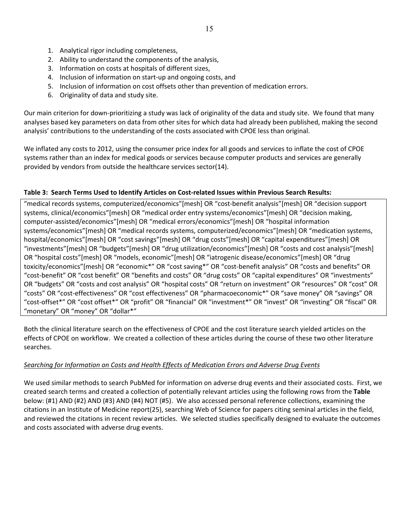- 1. Analytical rigor including completeness,
- 2. Ability to understand the components of the analysis,
- 3. Information on costs at hospitals of different sizes,
- 4. Inclusion of information on start‐up and ongoing costs, and
- 5. Inclusion of information on cost offsets other than prevention of medication errors.
- 6. Originality of data and study site.

Our main criterion for down‐prioritizing a study was lack of originality of the data and study site. We found that many analyses based key parameters on data from other sites for which data had already been published, making the second analysis' contributions to the understanding of the costs associated with CPOE less than original.

We inflated any costs to 2012, using the consumer price index for all goods and services to inflate the cost of CPOE systems rather than an index for medical goods or services because computer products and services are generally provided by vendors from outside the healthcare services sector(14).

## Table 3: Search Terms Used to Identify Articles on Cost-related Issues within Previous Search Results:

"medical records systems, computerized/economics"[mesh] OR "cost‐benefit analysis"[mesh] OR "decision support systems, clinical/economics"[mesh] OR "medical order entry systems/economics"[mesh] OR "decision making, computer‐assisted/economics"[mesh] OR "medical errors/economics"[mesh] OR "hospital information systems/economics"[mesh] OR "medical records systems, computerized/economics"[mesh] OR "medication systems, hospital/economics"[mesh] OR "cost savings"[mesh] OR "drug costs"[mesh] OR "capital expenditures"[mesh] OR "investments"[mesh] OR "budgets"[mesh] OR "drug utilization/economics"[mesh] OR "costs and cost analysis"[mesh] OR "hospital costs"[mesh] OR "models, economic"[mesh] OR "iatrogenic disease/economics"[mesh] OR "drug toxicity/economics"[mesh] OR "economic\*" OR "cost saving\*" OR "cost‐benefit analysis" OR "costs and benefits" OR "cost‐benefit" OR "cost benefit" OR "benefits and costs" OR "drug costs" OR "capital expenditures" OR "investments" OR "budgets" OR "costs and cost analysis" OR "hospital costs" OR "return on investment" OR "resources" OR "cost" OR "costs" OR "cost‐effectiveness" OR "cost effectiveness" OR "pharmacoeconomic\*" OR "save money" OR "savings" OR "cost‐offset\*" OR "cost offset\*" OR "profit" OR "financial" OR "investment\*" OR "invest" OR "investing" OR "fiscal" OR "monetary" OR "money" OR "dollar\*"

Both the clinical literature search on the effectiveness of CPOE and the cost literature search yielded articles on the effects of CPOE on workflow. We created a collection of these articles during the course of these two other literature searches.

## *Searching for Information on Costs and Health Effects of Medication Errors and Adverse Drug Events*

We used similar methods to search PubMed for information on adverse drug events and their associated costs. First, we created search terms and created a collection of potentially relevant articles using the following rows from the **Table** below: (#1) AND (#2) AND (#3) AND (#4) NOT (#5). We also accessed personal reference collections, examining the citations in an Institute of Medicine report(25), searching Web of Science for papers citing seminal articles in the field, and reviewed the citations in recent review articles. We selected studies specifically designed to evaluate the outcomes and costs associated with adverse drug events.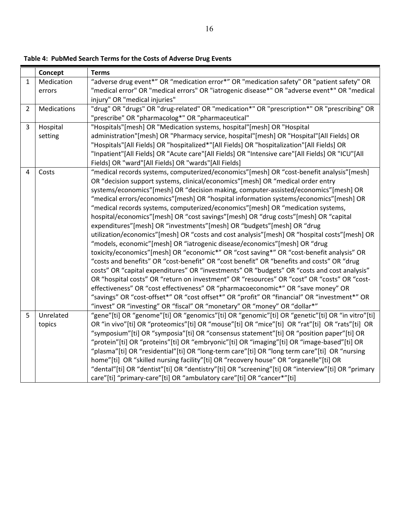|                | Concept     | <b>Terms</b>                                                                                       |  |  |  |  |  |
|----------------|-------------|----------------------------------------------------------------------------------------------------|--|--|--|--|--|
| 1              | Medication  | "adverse drug event*" OR "medication error*" OR "medication safety" OR "patient safety" OR         |  |  |  |  |  |
|                | errors      | "medical error" OR "medical errors" OR "iatrogenic disease*" OR "adverse event*" OR "medical       |  |  |  |  |  |
|                |             | injury" OR "medical injuries"                                                                      |  |  |  |  |  |
| $\overline{2}$ | Medications | "drug" OR "drugs" OR "drug-related" OR "medication*" OR "prescription*" OR "prescribing" OR        |  |  |  |  |  |
|                |             | "prescribe" OR "pharmacolog*" OR "pharmaceutical"                                                  |  |  |  |  |  |
| $\overline{3}$ | Hospital    | "Hospitals"[mesh] OR "Medication systems, hospital"[mesh] OR "Hospital                             |  |  |  |  |  |
|                | setting     | administration"[mesh] OR "Pharmacy service, hospital"[mesh] OR "Hospital"[All Fields] OR           |  |  |  |  |  |
|                |             | "Hospitals"[All Fields] OR "hospitalized*"[All Fields] OR "hospitalization"[All Fields] OR         |  |  |  |  |  |
|                |             | "Inpatient"[All Fields] OR "Acute care"[All Fields] OR "Intensive care"[All Fields] OR "ICU"[All   |  |  |  |  |  |
|                |             | Fields] OR "ward"[All Fields] OR "wards"[All Fields]                                               |  |  |  |  |  |
| 4              | Costs       | "medical records systems, computerized/economics"[mesh] OR "cost-benefit analysis"[mesh]           |  |  |  |  |  |
|                |             | OR "decision support systems, clinical/economics"[mesh] OR "medical order entry                    |  |  |  |  |  |
|                |             | systems/economics"[mesh] OR "decision making, computer-assisted/economics"[mesh] OR                |  |  |  |  |  |
|                |             | "medical errors/economics"[mesh] OR "hospital information systems/economics"[mesh] OR              |  |  |  |  |  |
|                |             | "medical records systems, computerized/economics"[mesh] OR "medication systems,                    |  |  |  |  |  |
|                |             | hospital/economics"[mesh] OR "cost savings"[mesh] OR "drug costs"[mesh] OR "capital                |  |  |  |  |  |
|                |             | expenditures"[mesh] OR "investments"[mesh] OR "budgets"[mesh] OR "drug                             |  |  |  |  |  |
|                |             | utilization/economics"[mesh] OR "costs and cost analysis"[mesh] OR "hospital costs"[mesh] OR       |  |  |  |  |  |
|                |             | "models, economic"[mesh] OR "iatrogenic disease/economics"[mesh] OR "drug                          |  |  |  |  |  |
|                |             | toxicity/economics"[mesh] OR "economic*" OR "cost saving*" OR "cost-benefit analysis" OR           |  |  |  |  |  |
|                |             | "costs and benefits" OR "cost-benefit" OR "cost benefit" OR "benefits and costs" OR "drug          |  |  |  |  |  |
|                |             | costs" OR "capital expenditures" OR "investments" OR "budgets" OR "costs and cost analysis"        |  |  |  |  |  |
|                |             | OR "hospital costs" OR "return on investment" OR "resources" OR "cost" OR "costs" OR "cost-        |  |  |  |  |  |
|                |             | effectiveness" OR "cost effectiveness" OR "pharmacoeconomic*" OR "save money" OR                   |  |  |  |  |  |
|                |             | "savings" OR "cost-offset*" OR "cost offset*" OR "profit" OR "financial" OR "investment*" OR       |  |  |  |  |  |
|                |             | "invest" OR "investing" OR "fiscal" OR "monetary" OR "money" OR "dollar*"                          |  |  |  |  |  |
| 5              | Unrelated   | "gene"[ti] OR "genome"[ti] OR "genomics"[ti] OR "genomic"[ti] OR "genetic"[ti] OR "in vitro"[ti]   |  |  |  |  |  |
|                | topics      | OR "in vivo"[ti] OR "proteomics"[ti] OR "mouse"[ti] OR "mice"[ti] OR "rat"[ti] OR "rats"[ti] OR    |  |  |  |  |  |
|                |             | "symposium"[ti] OR "symposia"[ti] OR "consensus statement"[ti] OR "position paper"[ti] OR          |  |  |  |  |  |
|                |             | "protein"[ti] OR "proteins"[ti] OR "embryonic"[ti] OR "imaging"[ti] OR "image-based"[ti] OR        |  |  |  |  |  |
|                |             | "plasma"[ti] OR "residential"[ti] OR "long-term care"[ti] OR "long term care"[ti] OR "nursing      |  |  |  |  |  |
|                |             | home"[ti] OR "skilled nursing facility"[ti] OR "recovery house" OR "organelle"[ti] OR              |  |  |  |  |  |
|                |             | "dental"[ti] OR "dentist"[ti] OR "dentistry"[ti] OR "screening"[ti] OR "interview"[ti] OR "primary |  |  |  |  |  |
|                |             | care"[ti] "primary-care"[ti] OR "ambulatory care"[ti] OR "cancer*"[ti]                             |  |  |  |  |  |

**Table 4: PubMed Search Terms for the Costs of Adverse Drug Events**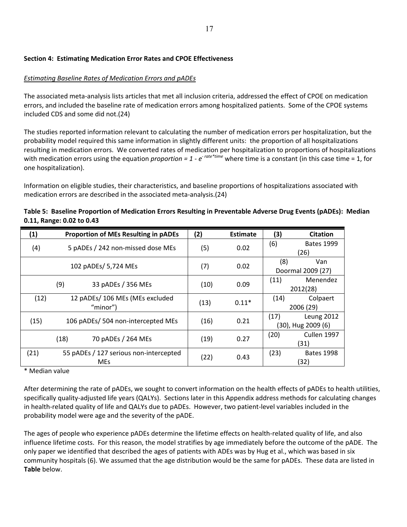## **Section 4: Estimating Medication Error Rates and CPOE Effectiveness**

## *Estimating Baseline Rates of Medication Errors and pADEs*

The associated meta‐analysis lists articles that met all inclusion criteria, addressed the effect of CPOE on medication errors, and included the baseline rate of medication errors among hospitalized patients. Some of the CPOE systems included CDS and some did not.(24)

The studies reported information relevant to calculating the number of medication errors per hospitalization, but the probability model required this same information in slightly different units: the proportion of all hospitalizations resulting in medication errors. We converted rates of medication per hospitalization to proportions of hospitalizations with medication errors using the equation *proportion* = 1 -  $e^{r \alpha t e^{*} \tan e}$  where time is a constant (in this case time = 1, for one hospitalization).

Information on eligible studies, their characteristics, and baseline proportions of hospitalizations associated with medication errors are described in the associated meta‐analysis.(24)

| (1)        |                                        | <b>Proportion of MEs Resulting in pADEs</b> | (2)  | <b>Estimate</b> | (3)      | <b>Citation</b>    |
|------------|----------------------------------------|---------------------------------------------|------|-----------------|----------|--------------------|
| (4)        |                                        | 5 pADEs / 242 non-missed dose MEs           | (5)  | 0.02            | (6)      | <b>Bates 1999</b>  |
|            |                                        |                                             |      |                 |          | (26)               |
|            |                                        |                                             | (7)  | 0.02            | (8)      | Van                |
|            | 102 pADEs/ 5,724 MEs                   |                                             |      |                 |          | Doormal 2009 (27)  |
|            |                                        |                                             | (10) |                 | (11)     | Menendez           |
|            | (9)<br>33 pADEs / 356 MEs              |                                             |      | 0.09            | 2012(28) |                    |
| (12)       | 12 pADEs/ 106 MEs (MEs excluded        |                                             |      | $0.11*$         | (14)     | Colpaert           |
|            | "minor")                               |                                             | (13) |                 |          | 2006 (29)          |
|            |                                        | 106 pADEs/ 504 non-intercepted MEs          |      |                 | (17)     | <b>Leung 2012</b>  |
| (15)       |                                        |                                             | (16) | 0.21            |          | (30), Hug 2009 (6) |
|            | (18)                                   | 70 pADEs / 264 MEs                          | (19) | 0.27            | (20)     | Cullen 1997        |
|            |                                        |                                             |      |                 |          | (31)               |
| (21)       | 55 pADEs / 127 serious non-intercepted |                                             |      |                 | (23)     | <b>Bates 1998</b>  |
| <b>MEs</b> |                                        |                                             | (22) | 0.43            |          | (32)               |

Table 5: Baseline Proportion of Medication Errors Resulting in Preventable Adverse Drug Events (pADEs): Median **0.11, Range: 0.02 to 0.43**

\* Median value

After determining the rate of pADEs, we sought to convert information on the health effects of pADEs to health utilities, specifically quality-adjusted life years (QALYs). Sections later in this Appendix address methods for calculating changes in health‐related quality of life and QALYs due to pADEs. However, two patient‐level variables included in the probability model were age and the severity of the pADE.

The ages of people who experience pADEs determine the lifetime effects on health‐related quality of life, and also influence lifetime costs. For this reason, the model stratifies by age immediately before the outcome of the pADE. The only paper we identified that described the ages of patients with ADEs was by Hug et al., which was based in six community hospitals (6). We assumed that the age distribution would be the same for pADEs. These data are listed in **Table** below.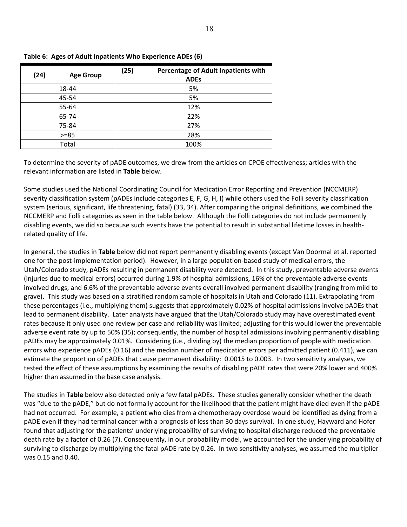| (24)     | <b>Age Group</b> | (25)<br>Percentage of Adult Inpatients with<br><b>ADEs</b> |  |  |  |
|----------|------------------|------------------------------------------------------------|--|--|--|
|          | 18-44            | 5%                                                         |  |  |  |
|          | 45-54            | 5%                                                         |  |  |  |
|          | 55-64            | 12%                                                        |  |  |  |
|          | 65-74            | 22%                                                        |  |  |  |
|          | 75-84            | 27%                                                        |  |  |  |
| $> = 85$ |                  | 28%                                                        |  |  |  |
|          | Total            | 100%                                                       |  |  |  |

|  |  | Table 6: Ages of Adult Inpatients Who Experience ADEs (6) |  |
|--|--|-----------------------------------------------------------|--|
|  |  |                                                           |  |

To determine the severity of pADE outcomes, we drew from the articles on CPOE effectiveness; articles with the relevant information are listed in **Table** below.

Some studies used the National Coordinating Council for Medication Error Reporting and Prevention (NCCMERP) severity classification system (pADEs include categories E, F, G, H, I) while others used the Folli severity classification system (serious, significant, life threatening, fatal) (33, 34). After comparing the original definitions, we combined the NCCMERP and Folli categories as seen in the table below. Although the Folli categories do not include permanently disabling events, we did so because such events have the potential to result in substantial lifetime losses in health‐ related quality of life.

In general, the studies in **Table** below did not report permanently disabling events (except Van Doormal et al. reported one for the post‐implementation period). However, in a large population‐based study of medical errors, the Utah/Colorado study, pADEs resulting in permanent disability were detected. In this study, preventable adverse events (injuries due to medical errors) occurred during 1.9% of hospital admissions, 16% of the preventable adverse events involved drugs, and 6.6% of the preventable adverse events overall involved permanent disability (ranging from mild to grave). This study was based on a stratified random sample of hospitals in Utah and Colorado (11). Extrapolating from these percentages (i.e., multiplying them) suggests that approximately 0.02% of hospital admissions involve pADEs that lead to permanent disability. Later analysts have argued that the Utah/Colorado study may have overestimated event rates because it only used one review per case and reliability was limited; adjusting for this would lower the preventable adverse event rate by up to 50% (35); consequently, the number of hospital admissions involving permanently disabling pADEs may be approximately 0.01%. Considering (i.e., dividing by) the median proportion of people with medication errors who experience pADEs (0.16) and the median number of medication errors per admitted patient (0.411), we can estimate the proportion of pADEs that cause permanent disability: 0.0015 to 0.003. In two sensitivity analyses, we tested the effect of these assumptions by examining the results of disabling pADE rates that were 20% lower and 400% higher than assumed in the base case analysis.

The studies in **Table** below also detected only a few fatal pADEs. These studies generally consider whether the death was "due to the pADE," but do not formally account for the likelihood that the patient might have died even if the pADE had not occurred. For example, a patient who dies from a chemotherapy overdose would be identified as dying from a pADE even if they had terminal cancer with a prognosis of less than 30 days survival. In one study, Hayward and Hofer found that adjusting for the patients' underlying probability of surviving to hospital discharge reduced the preventable death rate by a factor of 0.26 (7). Consequently, in our probability model, we accounted for the underlying probability of surviving to discharge by multiplying the fatal pADE rate by 0.26. In two sensitivity analyses, we assumed the multiplier was 0.15 and 0.40.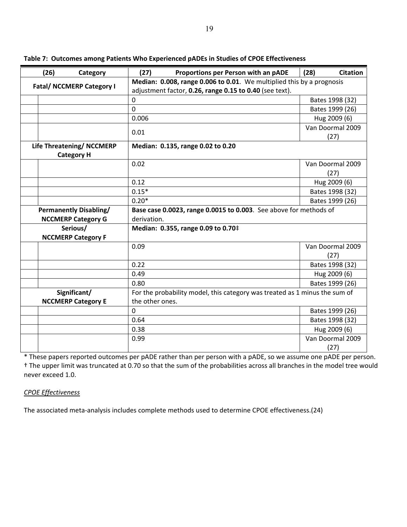| (26)<br>Category                 | (27)                                                                  | Proportions per Person with an pADE                                        | <b>Citation</b><br>(28) |  |  |
|----------------------------------|-----------------------------------------------------------------------|----------------------------------------------------------------------------|-------------------------|--|--|
| <b>Fatal/ NCCMERP Category I</b> | Median: 0.008, range 0.006 to 0.01. We multiplied this by a prognosis |                                                                            |                         |  |  |
|                                  |                                                                       | adjustment factor, 0.26, range 0.15 to 0.40 (see text).                    |                         |  |  |
|                                  | $\mathbf 0$                                                           |                                                                            | Bates 1998 (32)         |  |  |
|                                  | $\mathbf 0$                                                           |                                                                            | Bates 1999 (26)         |  |  |
|                                  | 0.006                                                                 |                                                                            | Hug 2009 (6)            |  |  |
|                                  | 0.01                                                                  |                                                                            | Van Doormal 2009        |  |  |
|                                  |                                                                       |                                                                            | (27)                    |  |  |
| Life Threatening/ NCCMERP        |                                                                       | Median: 0.135, range 0.02 to 0.20                                          |                         |  |  |
| <b>Category H</b>                |                                                                       |                                                                            |                         |  |  |
|                                  | 0.02                                                                  |                                                                            | Van Doormal 2009        |  |  |
|                                  |                                                                       |                                                                            | (27)                    |  |  |
|                                  | 0.12                                                                  |                                                                            | Hug 2009 (6)            |  |  |
|                                  | $0.15*$                                                               |                                                                            | Bates 1998 (32)         |  |  |
|                                  | $0.20*$                                                               |                                                                            | Bates 1999 (26)         |  |  |
| <b>Permanently Disabling/</b>    |                                                                       | Base case 0.0023, range 0.0015 to 0.003. See above for methods of          |                         |  |  |
| <b>NCCMERP Category G</b>        | derivation.                                                           |                                                                            |                         |  |  |
| Serious/                         |                                                                       | Median: 0.355, range 0.09 to 0.70‡                                         |                         |  |  |
| <b>NCCMERP Category F</b>        |                                                                       |                                                                            |                         |  |  |
|                                  | 0.09                                                                  |                                                                            | Van Doormal 2009        |  |  |
|                                  |                                                                       |                                                                            | (27)                    |  |  |
|                                  | 0.22                                                                  |                                                                            | Bates 1998 (32)         |  |  |
|                                  | 0.49                                                                  |                                                                            | Hug 2009 (6)            |  |  |
|                                  | 0.80                                                                  |                                                                            | Bates 1999 (26)         |  |  |
| Significant/                     |                                                                       | For the probability model, this category was treated as 1 minus the sum of |                         |  |  |
| <b>NCCMERP Category E</b>        | the other ones.                                                       |                                                                            |                         |  |  |
|                                  | $\mathbf 0$                                                           |                                                                            | Bates 1999 (26)         |  |  |
|                                  | 0.64                                                                  |                                                                            | Bates 1998 (32)         |  |  |
|                                  | 0.38                                                                  |                                                                            | Hug 2009 (6)            |  |  |
|                                  | 0.99                                                                  |                                                                            | Van Doormal 2009        |  |  |
|                                  |                                                                       |                                                                            | (27)                    |  |  |

**Table 7: Outcomes among Patients Who Experienced pADEs in Studies of CPOE Effectiveness**

\* These papers reported outcomes per pADE rather than per person with a pADE, so we assume one pADE per person. † The upper limit was truncated at 0.70 so that the sum of the probabilities across all branches in the model tree would never exceed 1.0.

## *CPOE Effectiveness*

The associated meta-analysis includes complete methods used to determine CPOE effectiveness.(24)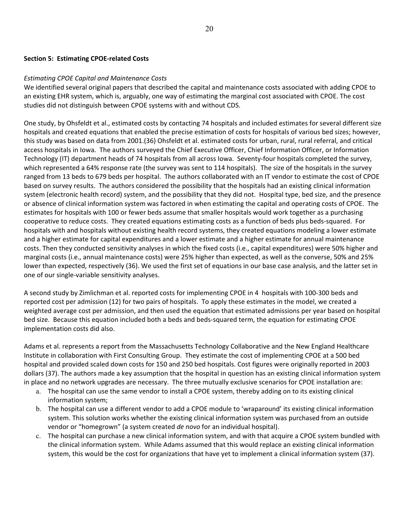#### **Section 5: Estimating CPOE‐related Costs**

#### *Estimating CPOE Capital and Maintenance Costs*

We identified several original papers that described the capital and maintenance costs associated with adding CPOE to an existing EHR system, which is, arguably, one way of estimating the marginal cost associated with CPOE. The cost studies did not distinguish between CPOE systems with and without CDS.

One study, by Ohsfeldt et al., estimated costs by contacting 74 hospitals and included estimates for several different size hospitals and created equations that enabled the precise estimation of costs for hospitals of various bed sizes; however, this study was based on data from 2001.(36) Ohsfeldt et al. estimated costs for urban, rural, rural referral, and critical access hospitals in Iowa. The authors surveyed the Chief Executive Officer, Chief Information Officer, or Information Technology (IT) department heads of 74 hospitals from all across Iowa. Seventy-four hospitals completed the survey, which represented a 64% response rate (the survey was sent to 114 hospitals). The size of the hospitals in the survey ranged from 13 beds to 679 beds per hospital. The authors collaborated with an IT vendor to estimate the cost of CPOE based on survey results. The authors considered the possibility that the hospitals had an existing clinical information system (electronic health record) system, and the possibility that they did not. Hospital type, bed size, and the presence or absence of clinical information system was factored in when estimating the capital and operating costs of CPOE. The estimates for hospitals with 100 or fewer beds assume that smaller hospitals would work together as a purchasing cooperative to reduce costs. They created equations estimating costs as a function of beds plus beds‐squared. For hospitals with and hospitals without existing health record systems, they created equations modeling a lower estimate and a higher estimate for capital expenditures and a lower estimate and a higher estimate for annual maintenance costs. Then they conducted sensitivity analyses in which the fixed costs (i.e., capital expenditures) were 50% higher and marginal costs (i.e., annual maintenance costs) were 25% higher than expected, as well as the converse, 50% and 25% lower than expected, respectively (36). We used the first set of equations in our base case analysis, and the latter set in one of our single‐variable sensitivity analyses.

A second study by Zimlichman et al. reported costs for implementing CPOE in 4 hospitals with 100‐300 beds and reported cost per admission (12) for two pairs of hospitals. To apply these estimates in the model, we created a weighted average cost per admission, and then used the equation that estimated admissions per year based on hospital bed size. Because this equation included both a beds and beds‐squared term, the equation for estimating CPOE implementation costs did also.

Adams et al. represents a report from the Massachusetts Technology Collaborative and the New England Healthcare Institute in collaboration with First Consulting Group. They estimate the cost of implementing CPOE at a 500 bed hospital and provided scaled down costs for 150 and 250 bed hospitals. Cost figures were originally reported in 2003 dollars (37). The authors made a key assumption that the hospital in question has an existing clinical information system in place and no network upgrades are necessary. The three mutually exclusive scenarios for CPOE installation are:

- a. The hospital can use the same vendor to install a CPOE system, thereby adding on to its existing clinical information system;
- b. The hospital can use a different vendor to add a CPOE module to 'wraparound' its existing clinical information system. This solution works whether the existing clinical information system was purchased from an outside vendor or "homegrown" (a system created *de novo* for an individual hospital).
- c. The hospital can purchase a new clinical information system, and with that acquire a CPOE system bundled with the clinical information system. While Adams assumed that this would replace an existing clinical information system, this would be the cost for organizations that have yet to implement a clinical information system (37).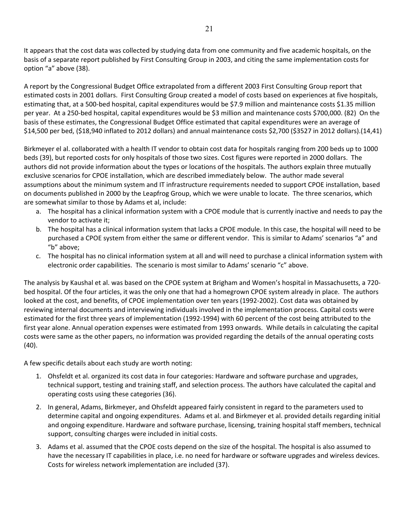It appears that the cost data was collected by studying data from one community and five academic hospitals, on the basis of a separate report published by First Consulting Group in 2003, and citing the same implementation costs for option "a" above (38).

A report by the Congressional Budget Office extrapolated from a different 2003 First Consulting Group report that estimated costs in 2001 dollars. First Consulting Group created a model of costs based on experiences at five hospitals, estimating that, at a 500‐bed hospital, capital expenditures would be \$7.9 million and maintenance costs \$1.35 million per year. At a 250‐bed hospital, capital expenditures would be \$3 million and maintenance costs \$700,000. (82) On the basis of these estimates, the Congressional Budget Office estimated that capital expenditures were an average of \$14,500 per bed, (\$18,940 inflated to 2012 dollars) and annual maintenance costs \$2,700 (\$3527 in 2012 dollars).(14,41)

Birkmeyer el al. collaborated with a health IT vendor to obtain cost data for hospitals ranging from 200 beds up to 1000 beds (39), but reported costs for only hospitals of those two sizes. Cost figures were reported in 2000 dollars. The authors did not provide information about the types or locations of the hospitals. The authors explain three mutually exclusive scenarios for CPOE installation, which are described immediately below. The author made several assumptions about the minimum system and IT infrastructure requirements needed to support CPOE installation, based on documents published in 2000 by the Leapfrog Group, which we were unable to locate. The three scenarios, which are somewhat similar to those by Adams et al, include:

- a. The hospital has a clinical information system with a CPOE module that is currently inactive and needs to pay the vendor to activate it;
- b. The hospital has a clinical information system that lacks a CPOE module. In this case, the hospital will need to be purchased a CPOE system from either the same or different vendor. This is similar to Adams' scenarios "a" and "b" above;
- c. The hospital has no clinical information system at all and will need to purchase a clinical information system with electronic order capabilities. The scenario is most similar to Adams' scenario "c" above.

The analysis by Kaushal et al. was based on the CPOE system at Brigham and Women's hospital in Massachusetts, a 720‐ bed hospital. Of the four articles, it was the only one that had a homegrown CPOE system already in place. The authors looked at the cost, and benefits, of CPOE implementation over ten years (1992-2002). Cost data was obtained by reviewing internal documents and interviewing individuals involved in the implementation process. Capital costs were estimated for the first three years of implementation (1992‐1994) with 60 percent of the cost being attributed to the first year alone. Annual operation expenses were estimated from 1993 onwards. While details in calculating the capital costs were same as the other papers, no information was provided regarding the details of the annual operating costs (40).

A few specific details about each study are worth noting:

- 1. Ohsfeldt et al. organized its cost data in four categories: Hardware and software purchase and upgrades, technical support, testing and training staff, and selection process. The authors have calculated the capital and operating costs using these categories (36).
- 2. In general, Adams, Birkmeyer, and Ohsfeldt appeared fairly consistent in regard to the parameters used to determine capital and ongoing expenditures. Adams et al. and Birkmeyer et al. provided details regarding initial and ongoing expenditure. Hardware and software purchase, licensing, training hospital staff members, technical support, consulting charges were included in initial costs.
- 3. Adams et al. assumed that the CPOE costs depend on the size of the hospital. The hospital is also assumed to have the necessary IT capabilities in place, i.e. no need for hardware or software upgrades and wireless devices. Costs for wireless network implementation are included (37).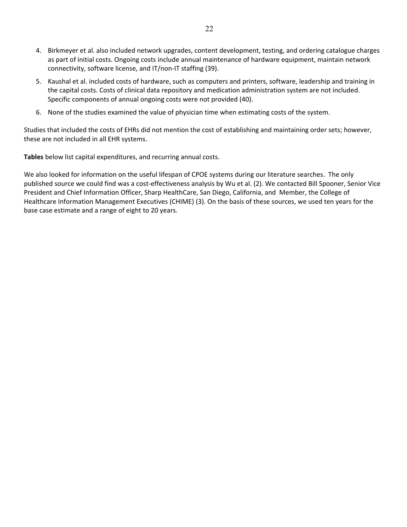- 4. Birkmeyer et al. also included network upgrades, content development, testing, and ordering catalogue charges as part of initial costs. Ongoing costs include annual maintenance of hardware equipment, maintain network connectivity, software license, and IT/non‐IT staffing (39).
- 5. Kaushal et al. included costs of hardware, such as computers and printers, software, leadership and training in the capital costs. Costs of clinical data repository and medication administration system are not included. Specific components of annual ongoing costs were not provided (40).
- 6. None of the studies examined the value of physician time when estimating costs of the system.

Studies that included the costs of EHRs did not mention the cost of establishing and maintaining order sets; however, these are not included in all EHR systems.

**Tables** below list capital expenditures, and recurring annual costs.

We also looked for information on the useful lifespan of CPOE systems during our literature searches. The only published source we could find was a cost-effectiveness analysis by Wu et al. (2). We contacted Bill Spooner, Senior Vice President and Chief Information Officer, Sharp HealthCare, San Diego, California, and Member, the College of Healthcare Information Management Executives (CHIME) (3). On the basis of these sources, we used ten years for the base case estimate and a range of eight to 20 years.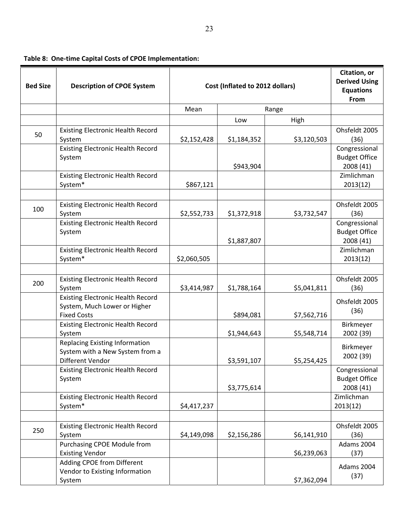|  |  |  |  |  | Table 8: One-time Capital Costs of CPOE Implementation: |
|--|--|--|--|--|---------------------------------------------------------|
|--|--|--|--|--|---------------------------------------------------------|

| <b>Bed Size</b> | <b>Description of CPOE System</b>                   | Cost (Inflated to 2012 dollars) | Citation, or<br><b>Derived Using</b><br><b>Equations</b> |             |                         |
|-----------------|-----------------------------------------------------|---------------------------------|----------------------------------------------------------|-------------|-------------------------|
|                 |                                                     |                                 |                                                          |             | From                    |
|                 |                                                     | Mean                            |                                                          | Range       |                         |
|                 |                                                     |                                 | Low                                                      | High        |                         |
| 50              | <b>Existing Electronic Health Record</b><br>System  |                                 |                                                          |             | Ohsfeldt 2005<br>(36)   |
|                 | <b>Existing Electronic Health Record</b>            | \$2,152,428                     | \$1,184,352                                              | \$3,120,503 | Congressional           |
|                 | System                                              |                                 |                                                          |             | <b>Budget Office</b>    |
|                 |                                                     |                                 | \$943,904                                                |             | 2008 (41)               |
|                 | <b>Existing Electronic Health Record</b>            |                                 |                                                          |             | Zimlichman              |
|                 | System*                                             | \$867,121                       |                                                          |             | 2013(12)                |
|                 |                                                     |                                 |                                                          |             |                         |
|                 | <b>Existing Electronic Health Record</b>            |                                 |                                                          |             | Ohsfeldt 2005           |
| 100             | System                                              | \$2,552,733                     | \$1,372,918                                              | \$3,732,547 | (36)                    |
|                 | <b>Existing Electronic Health Record</b>            |                                 |                                                          |             | Congressional           |
|                 | System                                              |                                 |                                                          |             | <b>Budget Office</b>    |
|                 |                                                     |                                 | \$1,887,807                                              |             | 2008 (41)               |
|                 | <b>Existing Electronic Health Record</b>            |                                 |                                                          |             | Zimlichman              |
|                 | System*                                             | \$2,060,505                     |                                                          |             | 2013(12)                |
|                 |                                                     |                                 |                                                          |             |                         |
| 200             | <b>Existing Electronic Health Record</b><br>System  | \$3,414,987                     | \$1,788,164                                              | \$5,041,811 | Ohsfeldt 2005<br>(36)   |
|                 | <b>Existing Electronic Health Record</b>            |                                 |                                                          |             |                         |
|                 | System, Much Lower or Higher                        |                                 |                                                          |             | Ohsfeldt 2005           |
|                 | <b>Fixed Costs</b>                                  |                                 | \$894,081                                                | \$7,562,716 | (36)                    |
|                 | <b>Existing Electronic Health Record</b>            |                                 |                                                          |             | Birkmeyer               |
|                 | System                                              |                                 | \$1,944,643                                              | \$5,548,714 | 2002 (39)               |
|                 | <b>Replacing Existing Information</b>               |                                 |                                                          |             | Birkmeyer               |
|                 | System with a New System from a                     |                                 |                                                          |             | 2002 (39)               |
|                 | Different Vendor                                    |                                 | \$3,591,107                                              | \$5,254,425 |                         |
|                 | <b>Existing Electronic Health Record</b>            |                                 |                                                          |             | Congressional           |
|                 | System                                              |                                 |                                                          |             | <b>Budget Office</b>    |
|                 |                                                     |                                 | \$3,775,614                                              |             | 2008 (41)<br>Zimlichman |
|                 | <b>Existing Electronic Health Record</b><br>System* | \$4,417,237                     |                                                          |             | 2013(12)                |
|                 |                                                     |                                 |                                                          |             |                         |
|                 | <b>Existing Electronic Health Record</b>            |                                 |                                                          |             | Ohsfeldt 2005           |
| 250             | System                                              | \$4,149,098                     | \$2,156,286                                              | \$6,141,910 | (36)                    |
|                 | Purchasing CPOE Module from                         |                                 |                                                          |             | <b>Adams 2004</b>       |
|                 | <b>Existing Vendor</b>                              |                                 |                                                          | \$6,239,063 | (37)                    |
|                 | Adding CPOE from Different                          |                                 |                                                          |             |                         |
|                 | Vendor to Existing Information                      |                                 |                                                          |             | Adams 2004<br>(37)      |
|                 | System                                              |                                 |                                                          | \$7,362,094 |                         |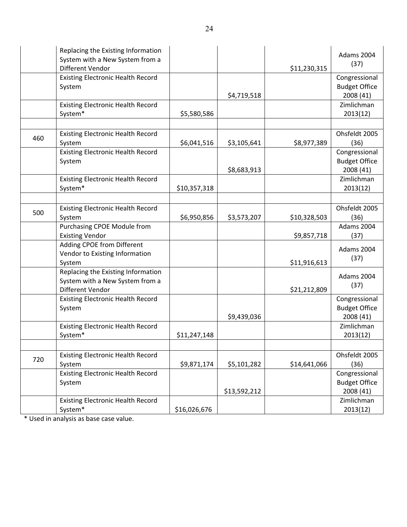|     | Replacing the Existing Information<br>System with a New System from a<br>Different Vendor |              |              | \$11,230,315 | Adams 2004<br>(37)                                 |
|-----|-------------------------------------------------------------------------------------------|--------------|--------------|--------------|----------------------------------------------------|
|     | <b>Existing Electronic Health Record</b><br>System                                        |              | \$4,719,518  |              | Congressional<br><b>Budget Office</b><br>2008 (41) |
|     | <b>Existing Electronic Health Record</b><br>System*                                       | \$5,580,586  |              |              | Zimlichman<br>2013(12)                             |
|     |                                                                                           |              |              |              |                                                    |
| 460 | <b>Existing Electronic Health Record</b><br>System                                        | \$6,041,516  | \$3,105,641  | \$8,977,389  | Ohsfeldt 2005<br>(36)                              |
|     | <b>Existing Electronic Health Record</b><br>System                                        |              | \$8,683,913  |              | Congressional<br><b>Budget Office</b><br>2008 (41) |
|     | <b>Existing Electronic Health Record</b><br>System*                                       | \$10,357,318 |              |              | Zimlichman<br>2013(12)                             |
|     |                                                                                           |              |              |              |                                                    |
| 500 | <b>Existing Electronic Health Record</b><br>System                                        | \$6,950,856  | \$3,573,207  | \$10,328,503 | Ohsfeldt 2005<br>(36)                              |
|     | Purchasing CPOE Module from<br><b>Existing Vendor</b>                                     |              |              | \$9,857,718  | Adams 2004<br>(37)                                 |
|     | Adding CPOE from Different<br>Vendor to Existing Information<br>System                    |              |              | \$11,916,613 | Adams 2004<br>(37)                                 |
|     | Replacing the Existing Information<br>System with a New System from a<br>Different Vendor |              |              | \$21,212,809 | Adams 2004<br>(37)                                 |
|     | <b>Existing Electronic Health Record</b><br>System                                        |              | \$9,439,036  |              | Congressional<br><b>Budget Office</b><br>2008 (41) |
|     | <b>Existing Electronic Health Record</b><br>System*                                       | \$11,247,148 |              |              | Zimlichman<br>2013(12)                             |
|     |                                                                                           |              |              |              |                                                    |
| 720 | <b>Existing Electronic Health Record</b><br>System                                        | \$9,871,174  | \$5,101,282  | \$14,641,066 | Ohsfeldt 2005<br>(36)                              |
|     | <b>Existing Electronic Health Record</b><br>System                                        |              | \$13,592,212 |              | Congressional<br><b>Budget Office</b><br>2008 (41) |
|     | <b>Existing Electronic Health Record</b><br>System*                                       | \$16,026,676 |              |              | Zimlichman<br>2013(12)                             |

\* Used in analysis as base case value.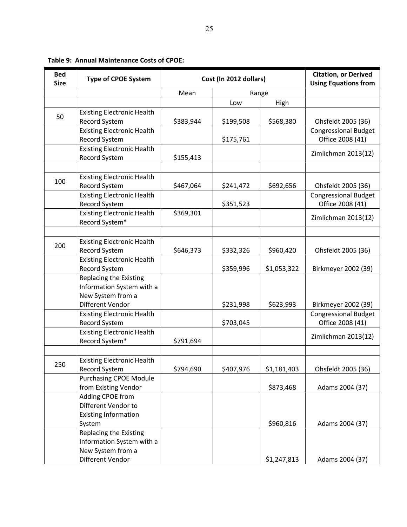| <b>Bed</b><br><b>Size</b> | <b>Type of CPOE System</b>                     | Cost (In 2012 dollars) |           |             | <b>Citation, or Derived</b><br><b>Using Equations from</b> |
|---------------------------|------------------------------------------------|------------------------|-----------|-------------|------------------------------------------------------------|
|                           |                                                | Mean                   |           | Range       |                                                            |
|                           |                                                |                        | Low       | High        |                                                            |
|                           | <b>Existing Electronic Health</b>              |                        |           |             |                                                            |
| 50                        | Record System                                  | \$383,944              | \$199,508 | \$568,380   | Ohsfeldt 2005 (36)                                         |
|                           | <b>Existing Electronic Health</b>              |                        |           |             | <b>Congressional Budget</b>                                |
|                           | Record System                                  |                        | \$175,761 |             | Office 2008 (41)                                           |
|                           | <b>Existing Electronic Health</b>              |                        |           |             | Zimlichman 2013(12)                                        |
|                           | Record System                                  | \$155,413              |           |             |                                                            |
|                           |                                                |                        |           |             |                                                            |
| 100                       | <b>Existing Electronic Health</b>              |                        |           |             |                                                            |
|                           | Record System                                  | \$467,064              | \$241,472 | \$692,656   | Ohsfeldt 2005 (36)                                         |
|                           | <b>Existing Electronic Health</b>              |                        |           |             | <b>Congressional Budget</b>                                |
|                           | Record System                                  |                        | \$351,523 |             | Office 2008 (41)                                           |
|                           | <b>Existing Electronic Health</b>              | \$369,301              |           |             | Zimlichman 2013(12)                                        |
|                           | Record System*                                 |                        |           |             |                                                            |
|                           |                                                |                        |           |             |                                                            |
| 200                       | <b>Existing Electronic Health</b>              |                        |           |             |                                                            |
|                           | Record System                                  | \$646,373              | \$332,326 | \$960,420   | Ohsfeldt 2005 (36)                                         |
|                           | <b>Existing Electronic Health</b>              |                        |           |             |                                                            |
|                           | Record System                                  |                        | \$359,996 | \$1,053,322 | Birkmeyer 2002 (39)                                        |
|                           | Replacing the Existing                         |                        |           |             |                                                            |
|                           | Information System with a<br>New System from a |                        |           |             |                                                            |
|                           | Different Vendor                               |                        | \$231,998 | \$623,993   | Birkmeyer 2002 (39)                                        |
|                           | <b>Existing Electronic Health</b>              |                        |           |             | <b>Congressional Budget</b>                                |
|                           | Record System                                  |                        | \$703,045 |             | Office 2008 (41)                                           |
|                           | <b>Existing Electronic Health</b>              |                        |           |             |                                                            |
|                           | Record System*                                 | \$791,694              |           |             | Zimlichman 2013(12)                                        |
|                           |                                                |                        |           |             |                                                            |
|                           | <b>Existing Electronic Health</b>              |                        |           |             |                                                            |
| 250                       | Record System                                  | \$794,690              | \$407,976 | \$1,181,403 | Ohsfeldt 2005 (36)                                         |
|                           | <b>Purchasing CPOE Module</b>                  |                        |           |             |                                                            |
|                           | from Existing Vendor                           |                        |           | \$873,468   | Adams 2004 (37)                                            |
|                           | Adding CPOE from                               |                        |           |             |                                                            |
|                           | Different Vendor to                            |                        |           |             |                                                            |
|                           | <b>Existing Information</b>                    |                        |           |             |                                                            |
|                           | System                                         |                        |           | \$960,816   | Adams 2004 (37)                                            |
|                           | Replacing the Existing                         |                        |           |             |                                                            |
|                           | Information System with a                      |                        |           |             |                                                            |
|                           | New System from a                              |                        |           |             |                                                            |
|                           | Different Vendor                               |                        |           | \$1,247,813 | Adams 2004 (37)                                            |

## **Table 9: Annual Maintenance Costs of CPOE:**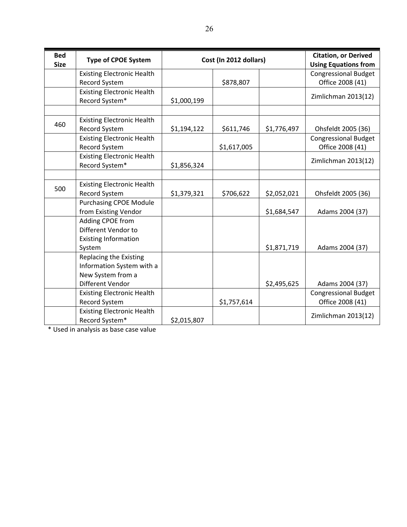| <b>Bed</b><br><b>Size</b> | <b>Type of CPOE System</b>        | Cost (In 2012 dollars) |             |             | <b>Citation, or Derived</b><br><b>Using Equations from</b> |
|---------------------------|-----------------------------------|------------------------|-------------|-------------|------------------------------------------------------------|
|                           | <b>Existing Electronic Health</b> |                        |             |             | <b>Congressional Budget</b>                                |
|                           | Record System                     |                        | \$878,807   |             | Office 2008 (41)                                           |
|                           | <b>Existing Electronic Health</b> |                        |             |             | Zimlichman 2013(12)                                        |
|                           | Record System*                    | \$1,000,199            |             |             |                                                            |
|                           |                                   |                        |             |             |                                                            |
| 460                       | <b>Existing Electronic Health</b> |                        |             |             |                                                            |
|                           | Record System                     | \$1,194,122            | \$611,746   | \$1,776,497 | Ohsfeldt 2005 (36)                                         |
|                           | <b>Existing Electronic Health</b> |                        |             |             | <b>Congressional Budget</b>                                |
|                           | <b>Record System</b>              |                        | \$1,617,005 |             | Office 2008 (41)                                           |
|                           | <b>Existing Electronic Health</b> |                        |             |             | Zimlichman 2013(12)                                        |
|                           | Record System*                    | \$1,856,324            |             |             |                                                            |
|                           |                                   |                        |             |             |                                                            |
| 500                       | <b>Existing Electronic Health</b> |                        |             |             |                                                            |
|                           | Record System                     | \$1,379,321            | \$706,622   | \$2,052,021 | Ohsfeldt 2005 (36)                                         |
|                           | <b>Purchasing CPOE Module</b>     |                        |             |             |                                                            |
|                           | from Existing Vendor              |                        |             | \$1,684,547 | Adams 2004 (37)                                            |
|                           | Adding CPOE from                  |                        |             |             |                                                            |
|                           | Different Vendor to               |                        |             |             |                                                            |
|                           | <b>Existing Information</b>       |                        |             |             |                                                            |
|                           | System                            |                        |             | \$1,871,719 | Adams 2004 (37)                                            |
|                           | Replacing the Existing            |                        |             |             |                                                            |
|                           | Information System with a         |                        |             |             |                                                            |
|                           | New System from a                 |                        |             |             |                                                            |
|                           | Different Vendor                  |                        |             | \$2,495,625 | Adams 2004 (37)                                            |
|                           | <b>Existing Electronic Health</b> |                        |             |             | <b>Congressional Budget</b>                                |
|                           | <b>Record System</b>              |                        | \$1,757,614 |             | Office 2008 (41)                                           |
|                           | <b>Existing Electronic Health</b> |                        |             |             | Zimlichman 2013(12)                                        |
|                           | Record System*                    | \$2,015,807            |             |             |                                                            |

\* Used in analysis as base case value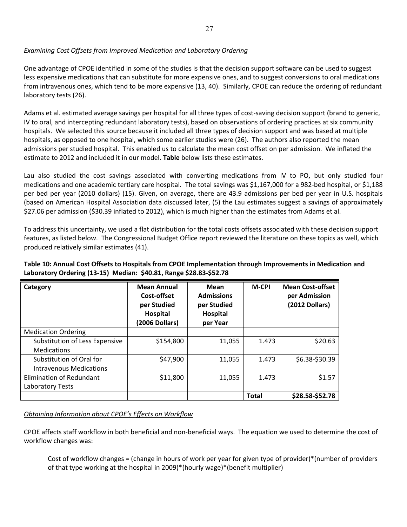## *Examining Cost Offsets from Improved Medication and Laboratory Ordering*

One advantage of CPOE identified in some of the studies is that the decision support software can be used to suggest less expensive medications that can substitute for more expensive ones, and to suggest conversions to oral medications from intravenous ones, which tend to be more expensive (13, 40). Similarly, CPOE can reduce the ordering of redundant laboratory tests (26).

Adams et al. estimated average savings per hospital for all three types of cost-saving decision support (brand to generic, IV to oral, and intercepting redundant laboratory tests), based on observations of ordering practices at six community hospitals. We selected this source because it included all three types of decision support and was based at multiple hospitals, as opposed to one hospital, which some earlier studies were (26). The authors also reported the mean admissions per studied hospital. This enabled us to calculate the mean cost offset on per admission. We inflated the estimate to 2012 and included it in our model. **Table** below lists these estimates.

Lau also studied the cost savings associated with converting medications from IV to PO, but only studied four medications and one academic tertiary care hospital. The total savings was \$1,167,000 for a 982‐bed hospital, or \$1,188 per bed per year (2010 dollars) (15). Given, on average, there are 43.9 admissions per bed per year in U.S. hospitals (based on American Hospital Association data discussed later, (5) the Lau estimates suggest a savings of approximately \$27.06 per admission (\$30.39 inflated to 2012), which is much higher than the estimates from Adams et al.

To address this uncertainty, we used a flat distribution for the total costs offsets associated with these decision support features, as listed below. The Congressional Budget Office report reviewed the literature on these topics as well, which produced relatively similar estimates (41).

# **Table 10: Annual Cost Offsets to Hospitals from CPOE Implementation through Improvements in Medication and Laboratory Ordering (13‐15) Median: \$40.81, Range \$28.83‐\$52.78**

| Category                   |                                | <b>Mean Annual</b><br>Cost-offset<br>per Studied<br>Hospital<br>(2006 Dollars) | Mean<br><b>Admissions</b><br>per Studied<br>Hospital<br>per Year | <b>M-CPI</b> | <b>Mean Cost-offset</b><br>per Admission<br>(2012 Dollars) |
|----------------------------|--------------------------------|--------------------------------------------------------------------------------|------------------------------------------------------------------|--------------|------------------------------------------------------------|
| <b>Medication Ordering</b> |                                |                                                                                |                                                                  |              |                                                            |
|                            | Substitution of Less Expensive | \$154,800                                                                      | 11,055                                                           | 1.473        | \$20.63                                                    |
|                            | <b>Medications</b>             |                                                                                |                                                                  |              |                                                            |
|                            | Substitution of Oral for       | \$47,900                                                                       | 11,055                                                           | 1.473        | \$6.38-\$30.39                                             |
|                            | Intravenous Medications        |                                                                                |                                                                  |              |                                                            |
| Elimination of Redundant   |                                | \$11,800                                                                       | 11,055                                                           | 1.473        | \$1.57                                                     |
| Laboratory Tests           |                                |                                                                                |                                                                  |              |                                                            |
|                            |                                |                                                                                |                                                                  | <b>Total</b> | \$28.58-\$52.78                                            |

# *Obtaining Information about CPOE's Effects on Workflow*

CPOE affects staff workflow in both beneficial and non‐beneficial ways. The equation we used to determine the cost of workflow changes was:

Cost of workflow changes = (change in hours of work per year for given type of provider)\*(number of providers of that type working at the hospital in 2009)\*(hourly wage)\*(benefit multiplier)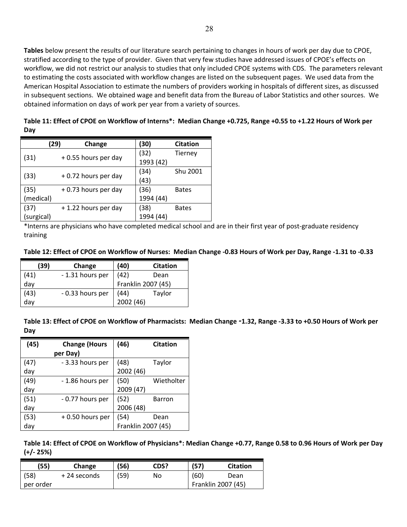**Tables** below present the results of our literature search pertaining to changes in hours of work per day due to CPOE, stratified according to the type of provider. Given that very few studies have addressed issues of CPOE's effects on workflow, we did not restrict our analysis to studies that only included CPOE systems with CDS. The parameters relevant to estimating the costs associated with workflow changes are listed on the subsequent pages. We used data from the American Hospital Association to estimate the numbers of providers working in hospitals of different sizes, as discussed in subsequent sections. We obtained wage and benefit data from the Bureau of Labor Statistics and other sources. We obtained information on days of work per year from a variety of sources.

|            | (29)                | Change              |  | (30)      | <b>Citation</b> |
|------------|---------------------|---------------------|--|-----------|-----------------|
|            |                     |                     |  | (32)      | Tierney         |
| (31)       |                     | +0.55 hours per day |  | 1993 (42) |                 |
|            | +0.72 hours per day |                     |  | (34)      | Shu 2001        |
| (33)       |                     |                     |  | (43)      |                 |
| (35)       |                     | +0.73 hours per day |  | (36)      | <b>Bates</b>    |
| (medical)  |                     |                     |  | 1994 (44) |                 |
| (37)       |                     | +1.22 hours per day |  | (38)      | <b>Bates</b>    |
| (surgical) |                     |                     |  | 1994 (44) |                 |

Table 11: Effect of CPOE on Workflow of Interns\*: Median Change +0.725, Range +0.55 to +1.22 Hours of Work per **Day**

\*Interns are physicians who have completed medical school and are in their first year of post‐graduate residency training

| (39)     | Change           | (40)      | <b>Citation</b>    |
|----------|------------------|-----------|--------------------|
| (41)     | - 1.31 hours per | (42)      | Dean               |
| day      |                  |           | Franklin 2007 (45) |
| (43)     | - 0.33 hours per | (44)      | Taylor             |
| .<br>day |                  | 2002 (46) |                    |

Table 13: Effect of CPOE on Workflow of Pharmacists: Median Change -1.32, Range -3.33 to +0.50 Hours of Work per **Day**

| (45) | <b>Change (Hours</b> | (46)               | <b>Citation</b> |
|------|----------------------|--------------------|-----------------|
|      | per Day)             |                    |                 |
| (47) | - 3.33 hours per     | (48)               | Taylor          |
| day  |                      | 2002 (46)          |                 |
| (49) | - 1.86 hours per     | (50)               | Wietholter      |
| day  |                      | 2009 (47)          |                 |
| (51) | - 0.77 hours per     | (52)               | <b>Barron</b>   |
| day  |                      | 2006 (48)          |                 |
| (53) | +0.50 hours per      | (54)               | Dean            |
| day  |                      | Franklin 2007 (45) |                 |

Table 14: Effect of CPOE on Workflow of Physicians\*: Median Change +0.77, Range 0.58 to 0.96 Hours of Work per Day **(+/‐ 25%)**

| (55)      | Change       | '56) | CDS? | (57)               | <b>Citation</b> |
|-----------|--------------|------|------|--------------------|-----------------|
| (58)      | + 24 seconds | '59) | No   | (60)               | Dean            |
| per order |              |      |      | Franklin 2007 (45) |                 |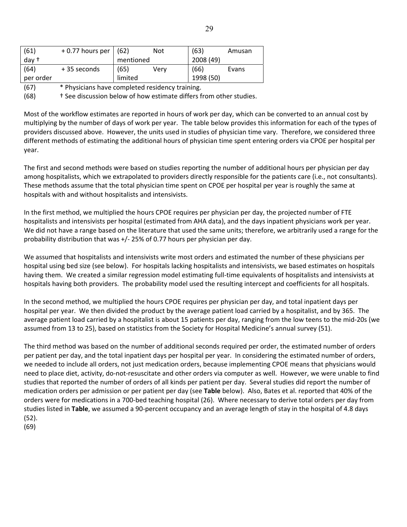| (61)                        | +0.77 hours per | (62)      | Not  | (63)      | Amusan |
|-----------------------------|-----------------|-----------|------|-----------|--------|
| day †                       |                 | mentioned |      | 2008 (49) |        |
| (64)                        | +35 seconds     | (65)      | Verv | (66)      | Evans  |
| per order                   |                 | limited   |      | 1998 (50) |        |
| $\sim$ $\sim$ $\sim$ $\sim$ | $\mathbf{r}$    |           |      |           |        |

(67) \* Physicians have completed residency training.

(68) † See discussion below of how estimate differs from other studies.

Most of the workflow estimates are reported in hours of work per day, which can be converted to an annual cost by multiplying by the number of days of work per year. The table below provides this information for each of the types of providers discussed above. However, the units used in studies of physician time vary. Therefore, we considered three different methods of estimating the additional hours of physician time spent entering orders via CPOE per hospital per year.

The first and second methods were based on studies reporting the number of additional hours per physician per day among hospitalists, which we extrapolated to providers directly responsible for the patients care (i.e., not consultants). These methods assume that the total physician time spent on CPOE per hospital per year is roughly the same at hospitals with and without hospitalists and intensivists.

In the first method, we multiplied the hours CPOE requires per physician per day, the projected number of FTE hospitalists and intensivists per hospital (estimated from AHA data), and the days inpatient physicians work per year. We did not have a range based on the literature that used the same units; therefore, we arbitrarily used a range for the probability distribution that was +/‐ 25% of 0.77 hours per physician per day.

We assumed that hospitalists and intensivists write most orders and estimated the number of these physicians per hospital using bed size (see below). For hospitals lacking hospitalists and intensivists, we based estimates on hospitals having them. We created a similar regression model estimating full-time equivalents of hospitalists and intensivists at hospitals having both providers. The probability model used the resulting intercept and coefficients for all hospitals.

In the second method, we multiplied the hours CPOE requires per physician per day, and total inpatient days per hospital per year. We then divided the product by the average patient load carried by a hospitalist, and by 365. The average patient load carried by a hospitalist is about 15 patients per day, ranging from the low teens to the mid‐20s (we assumed from 13 to 25), based on statistics from the Society for Hospital Medicine's annual survey (51).

The third method was based on the number of additional seconds required per order, the estimated number of orders per patient per day, and the total inpatient days per hospital per year. In considering the estimated number of orders, we needed to include all orders, not just medication orders, because implementing CPOE means that physicians would need to place diet, activity, do-not-resuscitate and other orders via computer as well. However, we were unable to find studies that reported the number of orders of all kinds per patient per day. Several studies did report the number of medication orders per admission or per patient per day (see **Table** below). Also, Bates et al. reported that 40% of the orders were for medications in a 700‐bed teaching hospital (26). Where necessary to derive total orders per day from studies listed in **Table**, we assumed a 90‐percent occupancy and an average length of stay in the hospital of 4.8 days (52).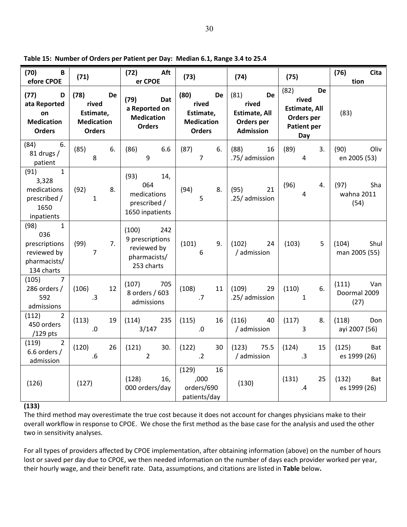| (70)<br>$\overline{B}$<br>efore CPOE                                                          | (71)                                                                          | $(72)$ Aft<br>er CPOE                                                       | (73)                                                                          | (74)                                                                                 | (75)                                                                                          | Cita<br>(76)<br>tion                 |
|-----------------------------------------------------------------------------------------------|-------------------------------------------------------------------------------|-----------------------------------------------------------------------------|-------------------------------------------------------------------------------|--------------------------------------------------------------------------------------|-----------------------------------------------------------------------------------------------|--------------------------------------|
| (77)<br>D<br>ata Reported<br>on<br><b>Medication</b><br><b>Orders</b>                         | (78)<br><b>De</b><br>rived<br>Estimate,<br><b>Medication</b><br><b>Orders</b> | (79)<br>Dat<br>a Reported on<br><b>Medication</b><br><b>Orders</b>          | (80)<br><b>De</b><br>rived<br>Estimate,<br><b>Medication</b><br><b>Orders</b> | (81)<br><b>De</b><br>rived<br><b>Estimate, All</b><br>Orders per<br><b>Admission</b> | (82)<br><b>De</b><br>rived<br><b>Estimate, All</b><br>Orders per<br><b>Patient per</b><br>Day | (83)                                 |
| $(84)$ 6.<br>81 drugs /<br>patient                                                            | (85)<br>6.<br>8                                                               | (86)<br>6.6<br>9                                                            | (87)<br>6.<br>7 <sup>1</sup>                                                  | (88)<br>16<br>.75/ admission                                                         | (89)<br>3.<br>$\overline{4}$                                                                  | (90)<br>Oliv<br>en 2005 (53)         |
| (91)<br>$\overline{\mathbf{1}}$<br>3,328<br>medications<br>prescribed /<br>1650<br>inpatients | (92)<br>8.<br>$\mathbf{1}$                                                    | $(93)$ 14,<br>064<br>medications<br>prescribed /<br>1650 inpatients         | (94)<br>8.<br>$5\phantom{.}$                                                  | (95)<br>21<br>.25/ admission                                                         | (96)<br>4.<br>$\overline{4}$                                                                  | Sha<br>(97)<br>wahna 2011<br>(54)    |
| $(98)$ 1<br>036<br>prescriptions<br>reviewed by<br>pharmacists/<br>134 charts                 | (99)<br>7.<br>$\overline{7}$                                                  | $(100)$ 242<br>9 prescriptions<br>reviewed by<br>pharmacists/<br>253 charts | (101)<br>9.<br>6                                                              | (102)<br>24<br>/ admission                                                           | (103)<br>5                                                                                    | (104)<br>Shul<br>man 2005 (55)       |
| $(105)$ 7<br>286 orders /<br>592<br>admissions                                                | (106)<br>12<br>.3                                                             | $(107)$ 705<br>8 orders / 603<br>admissions                                 | (108)<br>11<br>.7                                                             | (109)<br>29<br>.25/ admission                                                        | (110)<br>6.<br>$\overline{1}$                                                                 | (111)<br>Van<br>Doormal 2009<br>(27) |
| (112) 2<br>450 orders<br>$/129$ pts                                                           | (113)<br>19<br>.0                                                             | $(114)$ 235<br>3/147                                                        | (115)<br>16<br>.0                                                             | $(116)$ 40<br>/ admission                                                            | (117)<br>8.<br>$\overline{3}$                                                                 | (118)<br>Don<br>ayi 2007 (56)        |
| (119) 2<br>6.6 orders $/$<br>admission                                                        | (120)<br>26<br>.6                                                             | 30.<br>(121)<br>$\overline{2}$                                              | (122)<br>30<br>$.2\phantom{0}$                                                | 75.5<br>(123)<br>/ admission                                                         | (124)<br>15<br>$\cdot$ 3                                                                      | (125)<br>Bat<br>es 1999 (26)         |
| (126)                                                                                         | (127)                                                                         | (128)<br>16,<br>000 orders/day                                              | (129)<br>16<br>,000<br>orders/690<br>patients/day                             | (130)                                                                                | 25<br>(131)<br>$\mathbf{.4}$                                                                  | (132)<br>Bat<br>es 1999 (26)         |

**Table 15: Number of Orders per Patient per Day: Median 6.1, Range 3.4 to 25.4**

## **(133)**

The third method may overestimate the true cost because it does not account for changes physicians make to their overall workflow in response to CPOE. We chose the first method as the base case for the analysis and used the other two in sensitivity analyses.

For all types of providers affected by CPOE implementation, after obtaining information (above) on the number of hours lost or saved per day due to CPOE, we then needed information on the number of days each provider worked per year, their hourly wage, and their benefit rate. Data, assumptions, and citations are listed in **Table** below**.**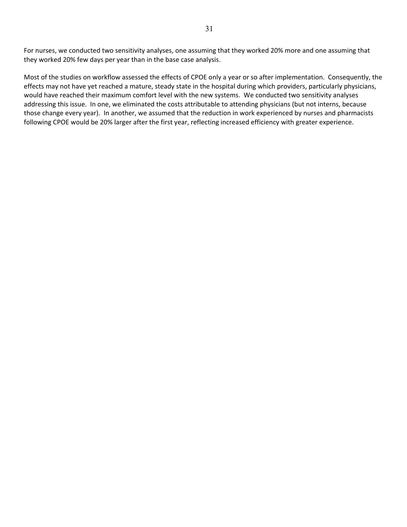For nurses, we conducted two sensitivity analyses, one assuming that they worked 20% more and one assuming that they worked 20% few days per year than in the base case analysis.

Most of the studies on workflow assessed the effects of CPOE only a year or so after implementation. Consequently, the effects may not have yet reached a mature, steady state in the hospital during which providers, particularly physicians, would have reached their maximum comfort level with the new systems. We conducted two sensitivity analyses addressing this issue. In one, we eliminated the costs attributable to attending physicians (but not interns, because those change every year). In another, we assumed that the reduction in work experienced by nurses and pharmacists following CPOE would be 20% larger after the first year, reflecting increased efficiency with greater experience.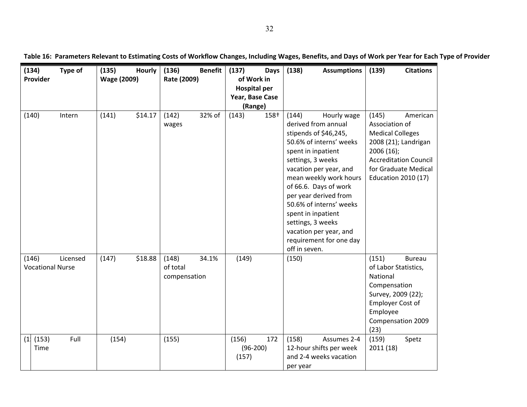|     | (134)<br>Type of<br>Provider                 | (135)<br>Hourly<br><b>Wage (2009)</b> | (136)<br><b>Benefit</b><br>Rate (2009)     | (137)<br>Days<br>of Work in            | (138)<br><b>Assumptions</b>                                                                                                                                                                                                                                                                                                                                                                  | (139)<br><b>Citations</b>                                                                                                                                                                  |
|-----|----------------------------------------------|---------------------------------------|--------------------------------------------|----------------------------------------|----------------------------------------------------------------------------------------------------------------------------------------------------------------------------------------------------------------------------------------------------------------------------------------------------------------------------------------------------------------------------------------------|--------------------------------------------------------------------------------------------------------------------------------------------------------------------------------------------|
|     |                                              |                                       |                                            | <b>Hospital per</b><br>Year, Base Case |                                                                                                                                                                                                                                                                                                                                                                                              |                                                                                                                                                                                            |
|     |                                              |                                       |                                            | (Range)                                |                                                                                                                                                                                                                                                                                                                                                                                              |                                                                                                                                                                                            |
|     | (140)<br>Intern                              | \$14.17<br>(141)                      | (142)<br>32% of<br>wages                   | (143)<br>$158+$                        | (144)<br>Hourly wage<br>derived from annual<br>stipends of \$46,245,<br>50.6% of interns' weeks<br>spent in inpatient<br>settings, 3 weeks<br>vacation per year, and<br>mean weekly work hours<br>of 66.6. Days of work<br>per year derived from<br>50.6% of interns' weeks<br>spent in inpatient<br>settings, 3 weeks<br>vacation per year, and<br>requirement for one day<br>off in seven. | (145)<br>American<br>Association of<br><b>Medical Colleges</b><br>2008 (21); Landrigan<br>2006 (16);<br><b>Accreditation Council</b><br>for Graduate Medical<br><b>Education 2010 (17)</b> |
|     | (146)<br>Licensed<br><b>Vocational Nurse</b> | \$18.88<br>(147)                      | (148)<br>34.1%<br>of total<br>compensation | (149)                                  | (150)                                                                                                                                                                                                                                                                                                                                                                                        | (151)<br><b>Bureau</b><br>of Labor Statistics,<br>National<br>Compensation<br>Survey, 2009 (22);<br>Employer Cost of<br>Employee<br>Compensation 2009<br>(23)                              |
| (1) | (153)<br>Full<br>Time                        | (154)                                 | (155)                                      | 172<br>(156)<br>$(96-200)$<br>(157)    | (158)<br>Assumes 2-4<br>12-hour shifts per week<br>and 2-4 weeks vacation<br>per year                                                                                                                                                                                                                                                                                                        | (159)<br>Spetz<br>2011 (18)                                                                                                                                                                |

Table 16: Parameters Relevant to Estimating Costs of Workflow Changes, Including Wages, Benefits, and Days of Work per Year for Each Type of Provider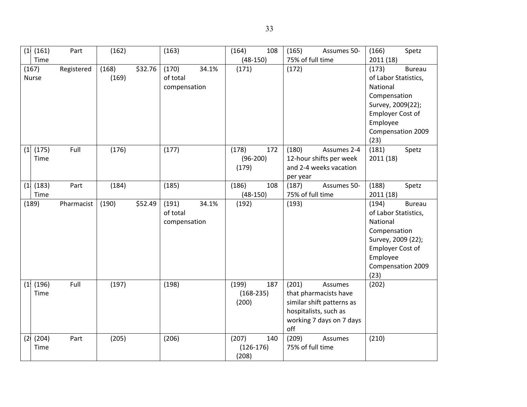|              | (1   (161)    | Part       | (162) |         | (163)        |       | (164)                | 108 | (165)                     | Assumes 50-               | (166)                | Spetz         |
|--------------|---------------|------------|-------|---------|--------------|-------|----------------------|-----|---------------------------|---------------------------|----------------------|---------------|
|              | Time          |            |       |         |              |       | $(48-150)$           |     | 75% of full time          |                           | 2011 (18)            |               |
| (167)        |               | Registered | (168) | \$32.76 | (170)        | 34.1% | (171)                |     | (172)                     |                           | (173)                | <b>Bureau</b> |
| <b>Nurse</b> |               |            | (169) |         | of total     |       |                      |     |                           |                           | of Labor Statistics, |               |
|              |               |            |       |         | compensation |       |                      |     |                           |                           | National             |               |
|              |               |            |       |         |              |       |                      |     |                           |                           | Compensation         |               |
|              |               |            |       |         |              |       |                      |     |                           |                           | Survey, 2009(22);    |               |
|              |               |            |       |         |              |       |                      |     |                           |                           | Employer Cost of     |               |
|              |               |            |       |         |              |       |                      |     |                           |                           | Employee             |               |
|              |               |            |       |         |              |       |                      |     |                           |                           | Compensation 2009    |               |
|              |               |            |       |         |              |       |                      |     |                           |                           | (23)                 |               |
| (1)          | (175)         | Full       | (176) |         | (177)        |       | (178)                | 172 | (180)                     | Assumes 2-4               | (181)                | Spetz         |
|              | Time          |            |       |         |              |       | $(96-200)$           |     |                           | 12-hour shifts per week   | 2011(18)             |               |
|              |               |            |       |         |              |       | (179)                |     |                           | and 2-4 weeks vacation    |                      |               |
|              |               |            |       |         |              |       |                      |     | per year                  |                           |                      |               |
| (1)          | (183)         | Part       | (184) |         | (185)        |       | (186)                | 108 | (187)                     | Assumes 50-               | (188)                | Spetz         |
|              | Time          |            |       |         |              |       | $(48-150)$           |     | 75% of full time          |                           | 2011 (18)            |               |
| (189)        |               | Pharmacist | (190) | \$52.49 | (191)        | 34.1% | (192)                |     | (193)                     |                           | (194)                | <b>Bureau</b> |
|              |               |            |       |         | of total     |       |                      |     |                           |                           | of Labor Statistics, |               |
|              |               |            |       |         | compensation |       |                      |     |                           |                           | National             |               |
|              |               |            |       |         |              |       |                      |     |                           |                           |                      |               |
|              |               |            |       |         |              |       |                      |     |                           |                           | Compensation         |               |
|              |               |            |       |         |              |       |                      |     |                           |                           | Survey, 2009 (22);   |               |
|              |               |            |       |         |              |       |                      |     |                           |                           | Employer Cost of     |               |
|              |               |            |       |         |              |       |                      |     |                           |                           | Employee             |               |
|              |               |            |       |         |              |       |                      |     |                           |                           | Compensation 2009    |               |
|              |               |            |       |         |              |       |                      |     |                           |                           | (23)                 |               |
|              | (1   (196)    | Full       | (197) |         | (198)        |       | (199)                | 187 | (201)                     | Assumes                   | (202)                |               |
|              | Time          |            |       |         |              |       | $(168-235)$          |     |                           | that pharmacists have     |                      |               |
|              |               |            |       |         |              |       | (200)                |     |                           | similar shift patterns as |                      |               |
|              |               |            |       |         |              |       |                      |     |                           | hospitalists, such as     |                      |               |
|              |               |            |       |         |              |       |                      |     |                           | working 7 days on 7 days  |                      |               |
|              |               |            |       |         |              |       |                      |     | off                       |                           |                      |               |
| (2)          | (204)<br>Time | Part       | (205) |         | (206)        |       | (207)<br>$(126-176)$ | 140 | (209)<br>75% of full time | Assumes                   | (210)                |               |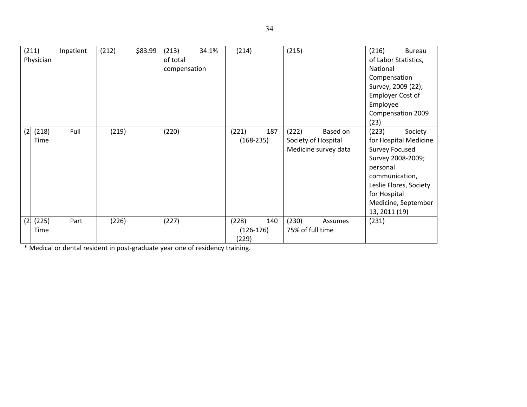|     | (211)<br>Physician | Inpatient | (212) | \$83.99 | (213)<br>of total<br>compensation | 34.1% | (214)                         |     | (215)                     |                                                         | (216)<br>National<br>Compensation<br>Employer Cost of<br>Employee<br>(23)                     | Bureau<br>of Labor Statistics,<br>Survey, 2009 (22);<br>Compensation 2009                              |
|-----|--------------------|-----------|-------|---------|-----------------------------------|-------|-------------------------------|-----|---------------------------|---------------------------------------------------------|-----------------------------------------------------------------------------------------------|--------------------------------------------------------------------------------------------------------|
| (2) | (218)<br>Time      | Full      | (219) |         | (220)                             |       | (221)<br>$(168-235)$          | 187 | (222)                     | Based on<br>Society of Hospital<br>Medicine survey data | (223)<br><b>Survey Focused</b><br>personal<br>communication,<br>for Hospital<br>13, 2011 (19) | Society<br>for Hospital Medicine<br>Survey 2008-2009;<br>Leslie Flores, Society<br>Medicine, September |
| (2) | (225)<br>Time      | Part      | (226) |         | (227)                             |       | (228)<br>$(126-176)$<br>(229) | 140 | (230)<br>75% of full time | Assumes                                                 | (231)                                                                                         |                                                                                                        |

\* Medical or dental resident in post‐graduate year one of residency training.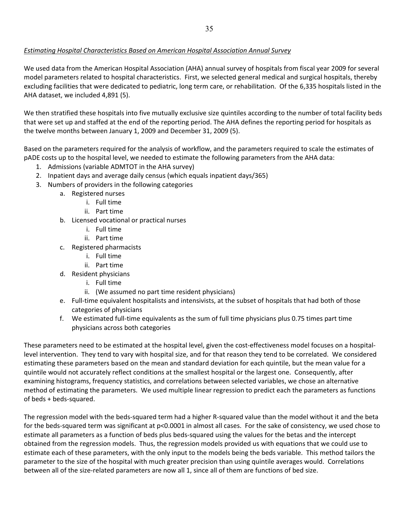## *Estimating Hospital Characteristics Based on American Hospital Association Annual Survey*

We used data from the American Hospital Association (AHA) annual survey of hospitals from fiscal year 2009 for several model parameters related to hospital characteristics. First, we selected general medical and surgical hospitals, thereby excluding facilities that were dedicated to pediatric, long term care, or rehabilitation. Of the 6,335 hospitals listed in the AHA dataset, we included 4,891 (5).

We then stratified these hospitals into five mutually exclusive size quintiles according to the number of total facility beds that were set up and staffed at the end of the reporting period. The AHA defines the reporting period for hospitals as the twelve months between January 1, 2009 and December 31, 2009 (5).

Based on the parameters required for the analysis of workflow, and the parameters required to scale the estimates of pADE costs up to the hospital level, we needed to estimate the following parameters from the AHA data:

- 1. Admissions (variable ADMTOT in the AHA survey)
- 2. Inpatient days and average daily census (which equals inpatient days/365)
- 3. Numbers of providers in the following categories
	- a. Registered nurses
		- i. Full time
		- ii. Part time
	- b. Licensed vocational or practical nurses
		- i. Full time
		- ii. Part time
	- c. Registered pharmacists
		- i. Full time
		- ii. Part time
	- d. Resident physicians
		- i. Full time
		- ii. (We assumed no part time resident physicians)
	- e. Full‐time equivalent hospitalists and intensivists, at the subset of hospitals that had both of those categories of physicians
	- f. We estimated full‐time equivalents as the sum of full time physicians plus 0.75 times part time physicians across both categories

These parameters need to be estimated at the hospital level, given the cost-effectiveness model focuses on a hospitallevel intervention. They tend to vary with hospital size, and for that reason they tend to be correlated. We considered estimating these parameters based on the mean and standard deviation for each quintile, but the mean value for a quintile would not accurately reflect conditions at the smallest hospital or the largest one. Consequently, after examining histograms, frequency statistics, and correlations between selected variables, we chose an alternative method of estimating the parameters. We used multiple linear regression to predict each the parameters as functions of beds + beds‐squared.

The regression model with the beds-squared term had a higher R-squared value than the model without it and the beta for the beds-squared term was significant at p<0.0001 in almost all cases. For the sake of consistency, we used chose to estimate all parameters as a function of beds plus beds‐squared using the values for the betas and the intercept obtained from the regression models. Thus, the regression models provided us with equations that we could use to estimate each of these parameters, with the only input to the models being the beds variable. This method tailors the parameter to the size of the hospital with much greater precision than using quintile averages would. Correlations between all of the size‐related parameters are now all 1, since all of them are functions of bed size.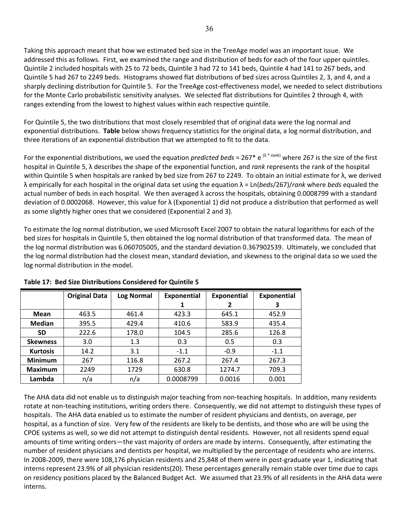Taking this approach meant that how we estimated bed size in the TreeAge model was an important issue. We addressed this as follows. First, we examined the range and distribution of beds for each of the four upper quintiles. Quintile 2 included hospitals with 25 to 72 beds, Quintile 3 had 72 to 141 beds, Quintile 4 had 141 to 267 beds, and Quintile 5 had 267 to 2249 beds. Histograms showed flat distributions of bed sizes across Quintiles 2, 3, and 4, and a sharply declining distribution for Quintile 5. For the TreeAge cost-effectiveness model, we needed to select distributions for the Monte Carlo probabilistic sensitivity analyses. We selected flat distributions for Quintiles 2 through 4, with ranges extending from the lowest to highest values within each respective quintile.

For Quintile 5, the two distributions that most closely resembled that of original data were the log normal and exponential distributions. **Table** below shows frequency statistics for the original data, a log normal distribution, and three iterations of an exponential distribution that we attempted to fit to the data.

For the exponential distributions, we used the equation *predicted beds* = 267\* e <sup>( $\lambda$ \* rank)</sub> where 267 is the size of the first</sup> hospital in Quintile 5, λ describes the shape of the exponential function, and *rank* represents the rank of the hospital within Quintile 5 when hospitals are ranked by bed size from 267 to 2249. To obtain an initial estimate for λ, we derived λ empirically for each hospital in the original data set using the equation λ = Ln(*beds*/267)/*rank* where *beds* equaled the actual number of beds in each hospital. We then averaged λ across the hospitals, obtaining 0.0008799 with a standard deviation of 0.0002068. However, this value for λ (Exponential 1) did not produce a distribution that performed as well as some slightly higher ones that we considered (Exponential 2 and 3).

To estimate the log normal distribution, we used Microsoft Excel 2007 to obtain the natural logarithms for each of the bed sizes for hospitals in Quintile 5, then obtained the log normal distribution of that transformed data. The mean of the log normal distribution was 6.060705005, and the standard deviation 0.367902539. Ultimately, we concluded that the log normal distribution had the closest mean, standard deviation, and skewness to the original data so we used the log normal distribution in the model.

|                 | <b>Original Data</b> | <b>Log Normal</b> | <b>Exponential</b> | <b>Exponential</b> | Exponential |
|-----------------|----------------------|-------------------|--------------------|--------------------|-------------|
|                 |                      |                   |                    | 2                  | 3           |
| Mean            | 463.5                | 461.4             | 423.3              | 645.1              | 452.9       |
| <b>Median</b>   | 395.5                | 429.4             | 410.6              | 583.9              | 435.4       |
| <b>SD</b>       | 222.6                | 178.0             | 104.5              | 285.6              | 126.8       |
| <b>Skewness</b> | 3.0                  | 1.3               | 0.3                | 0.5                | 0.3         |
| <b>Kurtosis</b> | 14.2                 | 3.1               | $-1.1$             | $-0.9$             | $-1.1$      |
| <b>Minimum</b>  | 267                  | 116.8             | 267.2              | 267.4              | 267.3       |
| <b>Maximum</b>  | 2249                 | 1729              | 630.8              | 1274.7             | 709.3       |
| Lambda          | n/a                  | n/a               | 0.0008799          | 0.0016             | 0.001       |

**Table 17: Bed Size Distributions Considered for Quintile 5**

The AHA data did not enable us to distinguish major teaching from non‐teaching hospitals. In addition, many residents rotate at non‐teaching institutions, writing orders there. Consequently, we did not attempt to distinguish these types of hospitals. The AHA data enabled us to estimate the number of resident physicians and dentists, on average, per hospital, as a function of size. Very few of the residents are likely to be dentists, and those who are will be using the CPOE systems as well, so we did not attempt to distinguish dental residents. However, not all residents spend equal amounts of time writing orders—the vast majority of orders are made by interns. Consequently, after estimating the number of resident physicians and dentists per hospital, we multiplied by the percentage of residents who are interns. In 2008-2009, there were 108,176 physician residents and 25,848 of them were in post-graduate year 1, indicating that interns represent 23.9% of all physician residents(20). These percentages generally remain stable over time due to caps on residency positions placed by the Balanced Budget Act. We assumed that 23.9% of all residents in the AHA data were interns.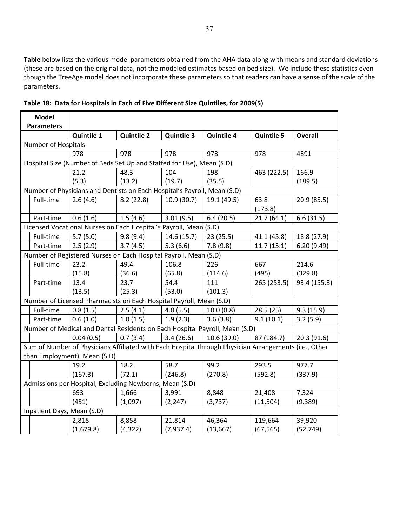**Table** below lists the various model parameters obtained from the AHA data along with means and standard deviations (these are based on the original data, not the modeled estimates based on bed size). We include these statistics even though the TreeAge model does not incorporate these parameters so that readers can have a sense of the scale of the parameters.

| <b>Model</b>               |                                                                                                       |                   |                   |                   |                   |                |
|----------------------------|-------------------------------------------------------------------------------------------------------|-------------------|-------------------|-------------------|-------------------|----------------|
| <b>Parameters</b>          |                                                                                                       |                   |                   |                   |                   |                |
|                            | <b>Quintile 1</b>                                                                                     | <b>Quintile 2</b> | <b>Quintile 3</b> | <b>Quintile 4</b> | <b>Quintile 5</b> | <b>Overall</b> |
| <b>Number of Hospitals</b> |                                                                                                       |                   |                   |                   |                   |                |
|                            | 978                                                                                                   | 978               | 978               | 978               | 978               | 4891           |
|                            | Hospital Size (Number of Beds Set Up and Staffed for Use), Mean (S.D)                                 |                   |                   |                   |                   |                |
|                            | 21.2                                                                                                  | 48.3              | 104               | 198               | 463 (222.5)       | 166.9          |
|                            | (5.3)                                                                                                 | (13.2)            | (19.7)            | (35.5)            |                   | (189.5)        |
|                            | Number of Physicians and Dentists on Each Hospital's Payroll, Mean (S.D)                              |                   |                   |                   |                   |                |
| Full-time                  | 2.6(4.6)                                                                                              | 8.2(22.8)         | 10.9(30.7)        | 19.1 (49.5)       | 63.8              | 20.9 (85.5)    |
|                            |                                                                                                       |                   |                   |                   | (173.8)           |                |
| Part-time                  | 0.6(1.6)                                                                                              | 1.5(4.6)          | 3.01(9.5)         | 6.4(20.5)         | 21.7(64.1)        | 6.6(31.5)      |
|                            | Licensed Vocational Nurses on Each Hospital's Payroll, Mean (S.D)                                     |                   |                   |                   |                   |                |
| Full-time                  | 5.7(5.0)                                                                                              | 9.8(9.4)          | 14.6(15.7)        | 23(25.5)          | 41.1 (45.8)       | 18.8 (27.9)    |
| Part-time                  | 2.5(2.9)                                                                                              | 3.7(4.5)          | 5.3(6.6)          | 7.8(9.8)          | 11.7(15.1)        | 6.20(9.49)     |
|                            | Number of Registered Nurses on Each Hospital Payroll, Mean (S.D)                                      |                   |                   |                   |                   |                |
| Full-time                  | 23.2                                                                                                  | 49.4              | 106.8             | 226               | 667               | 214.6          |
|                            | (15.8)                                                                                                | (36.6)            | (65.8)            | (114.6)           | (495)             | (329.8)        |
| Part-time                  | 13.4                                                                                                  | 23.7              | 54.4              | 111               | 265 (253.5)       | 93.4 (155.3)   |
|                            | (13.5)                                                                                                | (25.3)            | (53.0)            | (101.3)           |                   |                |
|                            | Number of Licensed Pharmacists on Each Hospital Payroll, Mean (S.D)                                   |                   |                   |                   |                   |                |
| Full-time                  | 0.8(1.5)                                                                                              | 2.5(4.1)          | 4.8(5.5)          | 10.0(8.8)         | 28.5(25)          | 9.3(15.9)      |
| Part-time                  | 0.6(1.0)                                                                                              | 1.0(1.5)          | 1.9(2.3)          | 3.6(3.8)          | 9.1(10.1)         | 3.2(5.9)       |
|                            | Number of Medical and Dental Residents on Each Hospital Payroll, Mean (S.D)                           |                   |                   |                   |                   |                |
|                            | 0.04(0.5)                                                                                             | 0.7(3.4)          | 3.4(26.6)         | 10.6(39.0)        | 87 (184.7)        | 20.3 (91.6)    |
|                            | Sum of Number of Physicians Affiliated with Each Hospital through Physician Arrangements (i.e., Other |                   |                   |                   |                   |                |
|                            | than Employment), Mean (S.D)                                                                          |                   |                   |                   |                   |                |
|                            | 19.2                                                                                                  | 18.2              | 58.7              | 99.2              | 293.5             | 977.7          |
|                            | (167.3)                                                                                               | (72.1)            | (246.8)           | (270.8)           | (592.8)           | (337.9)        |
|                            | Admissions per Hospital, Excluding Newborns, Mean (S.D)                                               |                   |                   |                   |                   |                |
|                            | 693                                                                                                   | 1,666             | 3,991             | 8,848             | 21,408            | 7,324          |
|                            | (451)                                                                                                 | (1,097)           | (2, 247)          | (3,737)           | (11, 504)         | (9,389)        |
| Inpatient Days, Mean (S.D) |                                                                                                       |                   |                   |                   |                   |                |
|                            | 2,818                                                                                                 | 8,858             | 21,814            | 46,364            | 119,664           | 39,920         |
|                            | (1,679.8)                                                                                             | (4, 322)          | (7,937.4)         | (13, 667)         | (67, 565)         | (52, 749)      |

**Table 18: Data for Hospitals in Each of Five Different Size Quintiles, for 2009(5)**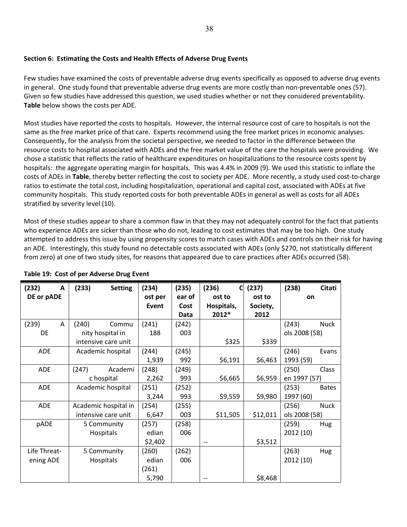## **Section 6: Estimating the Costs and Health Effects of Adverse Drug Events**

Few studies have examined the costs of preventable adverse drug events specifically as opposed to adverse drug events in general. One study found that preventable adverse drug events are more costly than non-preventable ones (57). Given so few studies have addressed this question, we used studies whether or not they considered preventability. **Table** below shows the costs per ADE.

Most studies have reported the costs to hospitals. However, the internal resource cost of care to hospitals is not the same as the free market price of that care. Experts recommend using the free market prices in economic analyses. Consequently, for the analysis from the societal perspective, we needed to factor in the difference between the resource costs to hospital associated with ADEs and the free market value of the care the hospitals were providing. We chose a statistic that reflects the ratio of healthcare expenditures on hospitalizations to the resource costs spent by hospitals: the aggregate operating margin for hospitals. This was 4.4% in 2009 (9). We used this statistic to inflate the costs of ADEs in **Table**, thereby better reflecting the cost to society per ADE. More recently, a study used cost‐to‐charge ratios to estimate the total cost, including hospitalization, operational and capital cost, associated with ADEs at five community hospitals. This study reported costs for both preventable ADEs in general as well as costs for all ADEs stratified by severity level (10).

Most of these studies appear to share a common flaw in that they may not adequately control for the fact that patients who experience ADEs are sicker than those who do not, leading to cost estimates that may be too high. One study attempted to address this issue by using propensity scores to match cases with ADEs and controls on their risk for having an ADE. Interestingly, this study found no detectable costs associated with ADEs (only \$270, not statistically different from zero) at one of two study sites, for reasons that appeared due to care practices after ADEs occurred (58).

| (232)<br>A   | (233)<br><b>Setting</b> | (234)   | (235)  | (236)<br>C | (237)    | (238)         | Citati       |
|--------------|-------------------------|---------|--------|------------|----------|---------------|--------------|
| DE or pADE   |                         | ost per | ear of | ost to     | ost to   | on            |              |
|              |                         | Event   | Cost   | Hospitals, | Society, |               |              |
|              |                         |         | Data   | 2012*      | 2012     |               |              |
| (239)<br>A   | (240)<br>Commu          | (241)   | (242)  |            |          | (243)         | <b>Nuck</b>  |
| DE           | nity hospital in        | 188     | 003    |            |          | ols 2008 (58) |              |
|              | intensive care unit     |         |        | \$325      | \$339    |               |              |
| <b>ADE</b>   | Academic hospital       | (244)   | (245)  |            |          | (246)         | Evans        |
|              |                         | 1,939   | 992    | \$6,191    | \$6,463  | 1993 (59)     |              |
| <b>ADE</b>   | (247)<br>Academi        | (248)   | (249)  |            |          | (250)         | Class        |
|              | c hospital              | 2,262   | 993    | \$6,665    | \$6,959  | en 1997 (57)  |              |
| <b>ADE</b>   | Academic hospital       | (251)   | (252)  |            |          | (253)         | <b>Bates</b> |
|              |                         | 3,244   | 993    | \$9,559    | \$9,980  | 1997 (60)     |              |
| <b>ADE</b>   | Academic hospital in    | (254)   | (255)  |            |          | (256)         | <b>Nuck</b>  |
|              | intensive care unit     | 6,647   | 003    | \$11,505   | \$12,011 | ols 2008 (58) |              |
| pADE         | 5 Community             | (257)   | (258)  |            |          | (259)         | Hug          |
|              | Hospitals               | edian   | 006    |            |          | 2012 (10)     |              |
|              |                         | \$2,402 |        | $-$        | \$3,512  |               |              |
| Life Threat- | 5 Community             | (260)   | (262)  |            |          | (263)         | Hug          |
| ening ADE    | <b>Hospitals</b>        | edian   | 006    |            |          | 2012 (10)     |              |
|              |                         | (261)   |        |            |          |               |              |
|              |                         | 5,790   |        |            | \$8,468  |               |              |

## **Table 19: Cost of per Adverse Drug Event**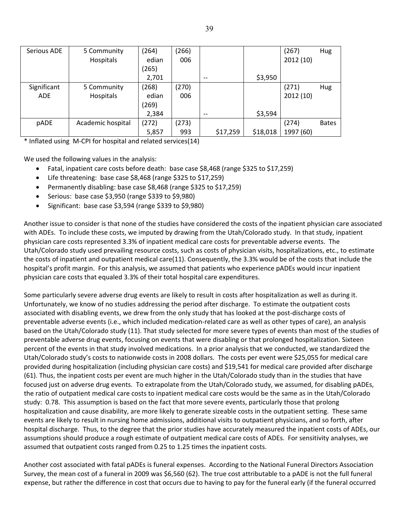| Serious ADE | 5 Community       | (264) | (266) |          |          | (267)     | Hug          |
|-------------|-------------------|-------|-------|----------|----------|-----------|--------------|
|             | Hospitals         | edian | 006   |          |          | 2012(10)  |              |
|             |                   | (265) |       |          |          |           |              |
|             |                   | 2,701 |       | --       | \$3,950  |           |              |
| Significant | 5 Community       | (268) | (270) |          |          | (271)     | Hug          |
| <b>ADE</b>  | Hospitals         | edian | 006   |          |          | 2012(10)  |              |
|             |                   | (269) |       |          |          |           |              |
|             |                   | 2,384 |       | --       | \$3,594  |           |              |
| pADE        | Academic hospital | (272) | (273) |          |          | (274)     | <b>Bates</b> |
|             |                   | 5,857 | 993   | \$17,259 | \$18,018 | 1997 (60) |              |

\* Inflated using M‐CPI for hospital and related services(14)

We used the following values in the analysis:

- Fatal, inpatient care costs before death: base case \$8,468 (range \$325 to \$17,259)
- Life threatening: base case \$8,468 (range \$325 to \$17,259)
- Permanently disabling: base case \$8,468 (range \$325 to \$17,259)
- Serious: base case \$3,950 (range \$339 to \$9,980)
- $\bullet$  Significant: base case \$3,594 (range \$339 to \$9,980)

Another issue to consider is that none of the studies have considered the costs of the inpatient physician care associated with ADEs. To include these costs, we imputed by drawing from the Utah/Colorado study. In that study, inpatient physician care costs represented 3.3% of inpatient medical care costs for preventable adverse events. The Utah/Colorado study used prevailing resource costs, such as costs of physician visits, hospitalizations, etc., to estimate the costs of inpatient and outpatient medical care(11). Consequently, the 3.3% would be of the costs that include the hospital's profit margin. For this analysis, we assumed that patients who experience pADEs would incur inpatient physician care costs that equaled 3.3% of their total hospital care expenditures.

Some particularly severe adverse drug events are likely to result in costs after hospitalization as well as during it. Unfortunately, we know of no studies addressing the period after discharge. To estimate the outpatient costs associated with disabling events, we drew from the only study that has looked at the post‐discharge costs of preventable adverse events (i.e., which included medication-related care as well as other types of care), an analysis based on the Utah/Colorado study (11). That study selected for more severe types of events than most of the studies of preventable adverse drug events, focusing on events that were disabling or that prolonged hospitalization. Sixteen percent of the events in that study involved medications. In a prior analysis that we conducted, we standardized the Utah/Colorado study's costs to nationwide costs in 2008 dollars. The costs per event were \$25,055 for medical care provided during hospitalization (including physician care costs) and \$19,541 for medical care provided after discharge (61). Thus, the inpatient costs per event are much higher in the Utah/Colorado study than in the studies that have focused just on adverse drug events. To extrapolate from the Utah/Colorado study, we assumed, for disabling pADEs, the ratio of outpatient medical care costs to inpatient medical care costs would be the same as in the Utah/Colorado study: 0.78. This assumption is based on the fact that more severe events, particularly those that prolong hospitalization and cause disability, are more likely to generate sizeable costs in the outpatient setting. These same events are likely to result in nursing home admissions, additional visits to outpatient physicians, and so forth, after hospital discharge. Thus, to the degree that the prior studies have accurately measured the inpatient costs of ADEs, our assumptions should produce a rough estimate of outpatient medical care costs of ADEs. For sensitivity analyses, we assumed that outpatient costs ranged from 0.25 to 1.25 times the inpatient costs.

Another cost associated with fatal pADEs is funeral expenses. According to the National Funeral Directors Association Survey, the mean cost of a funeral in 2009 was \$6,560 (62). The true cost attributable to a pADE is not the full funeral expense, but rather the difference in cost that occurs due to having to pay for the funeral early (if the funeral occurred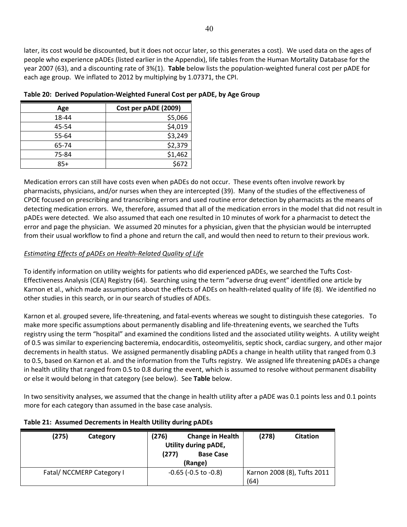later, its cost would be discounted, but it does not occur later, so this generates a cost). We used data on the ages of people who experience pADEs (listed earlier in the Appendix), life tables from the Human Mortality Database for the year 2007 (63), and a discounting rate of 3%(1). **Table** below lists the population‐weighted funeral cost per pADE for each age group. We inflated to 2012 by multiplying by 1.07371, the CPI.

| Age   | Cost per pADE (2009) |  |
|-------|----------------------|--|
| 18-44 | \$5,066              |  |
| 45-54 | \$4,019              |  |
| 55-64 | \$3,249              |  |
| 65-74 | \$2,379              |  |
| 75-84 | \$1,462              |  |
| $85+$ | \$672                |  |

**Table 20: Derived Population‐Weighted Funeral Cost per pADE, by Age Group**

Medication errors can still have costs even when pADEs do not occur. These events often involve rework by pharmacists, physicians, and/or nurses when they are intercepted (39). Many of the studies of the effectiveness of CPOE focused on prescribing and transcribing errors and used routine error detection by pharmacists as the means of detecting medication errors. We, therefore, assumed that all of the medication errors in the model that did not result in pADEs were detected. We also assumed that each one resulted in 10 minutes of work for a pharmacist to detect the error and page the physician. We assumed 20 minutes for a physician, given that the physician would be interrupted from their usual workflow to find a phone and return the call, and would then need to return to their previous work.

## *Estimating Effects of pADEs on Health‐Related Quality of Life*

To identify information on utility weights for patients who did experienced pADEs, we searched the Tufts Cost‐ Effectiveness Analysis (CEA) Registry (64). Searching using the term "adverse drug event" identified one article by Karnon et al., which made assumptions about the effects of ADEs on health-related quality of life (8). We identified no other studies in this search, or in our search of studies of ADEs.

Karnon et al. grouped severe, life-threatening, and fatal-events whereas we sought to distinguish these categories. To make more specific assumptions about permanently disabling and life‐threatening events, we searched the Tufts registry using the term "hospital" and examined the conditions listed and the associated utility weights. A utility weight of 0.5 was similar to experiencing bacteremia, endocarditis, osteomyelitis, septic shock, cardiac surgery, and other major decrements in health status. We assigned permanently disabling pADEs a change in health utility that ranged from 0.3 to 0.5, based on Karnon et al. and the information from the Tufts registry. We assigned life threatening pADEs a change in health utility that ranged from 0.5 to 0.8 during the event, which is assumed to resolve without permanent disability or else it would belong in that category (see below). See **Table** below.

In two sensitivity analyses, we assumed that the change in health utility after a pADE was 0.1 points less and 0.1 points more for each category than assumed in the base case analysis.

| (275)<br>Category         | (276)<br><b>Change in Health</b><br>Utility during pADE,<br>(277)<br><b>Base Case</b><br>(Range) | (278)<br><b>Citation</b>            |
|---------------------------|--------------------------------------------------------------------------------------------------|-------------------------------------|
| Fatal/ NCCMERP Category I | $-0.65$ ( $-0.5$ to $-0.8$ )                                                                     | Karnon 2008 (8), Tufts 2011<br>(64) |

## **Table 21: Assumed Decrements in Health Utility during pADEs**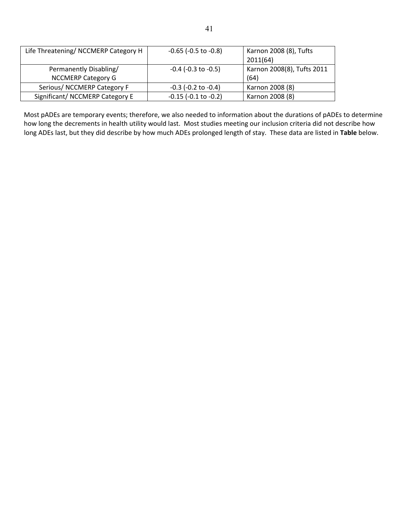| Life Threatening/ NCCMERP Category H                | $-0.65$ ( $-0.5$ to $-0.8$ ) | Karnon 2008 (8), Tufts<br>2011(64) |
|-----------------------------------------------------|------------------------------|------------------------------------|
| Permanently Disabling/<br><b>NCCMERP Category G</b> | $-0.4$ ( $-0.3$ to $-0.5$ )  | Karnon 2008(8), Tufts 2011<br>(64) |
| Serious/ NCCMERP Category F                         | $-0.3$ ( $-0.2$ to $-0.4$ )  | Karnon 2008 (8)                    |
| Significant/ NCCMERP Category E                     | $-0.15$ ( $-0.1$ to $-0.2$ ) | Karnon 2008 (8)                    |

Most pADEs are temporary events; therefore, we also needed to information about the durations of pADEs to determine how long the decrements in health utility would last. Most studies meeting our inclusion criteria did not describe how long ADEs last, but they did describe by how much ADEs prolonged length of stay. These data are listed in **Table** below.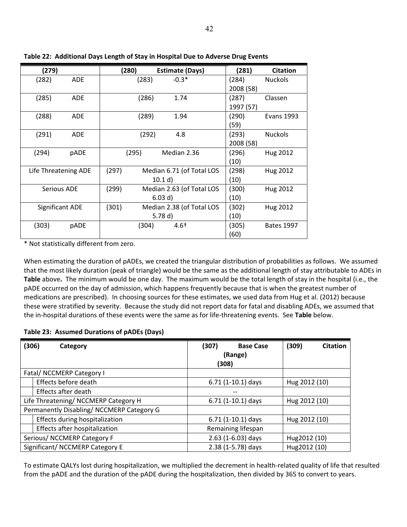| (279)                  |            | (280) |       | <b>Estimate (Days)</b>    | (281)     | <b>Citation</b>   |
|------------------------|------------|-------|-------|---------------------------|-----------|-------------------|
| (282)                  | <b>ADE</b> |       | (283) | $-0.3*$                   | (284)     | <b>Nuckols</b>    |
|                        |            |       |       |                           | 2008 (58) |                   |
| (285)                  | <b>ADE</b> |       | (286) | 1.74                      | (287)     | Classen           |
|                        |            |       |       |                           | 1997 (57) |                   |
| (288)                  | <b>ADE</b> |       | (289) | 1.94                      | (290)     | <b>Evans 1993</b> |
|                        |            |       |       |                           | (59)      |                   |
| (291)                  | <b>ADE</b> |       | (292) | 4.8                       | (293)     | <b>Nuckols</b>    |
|                        |            |       |       |                           | 2008 (58) |                   |
| (294)                  | pADE       |       | (295) | Median 2.36               | (296)     | Hug 2012          |
|                        |            |       |       |                           | (10)      |                   |
| Life Threatening ADE   |            | (297) |       | Median 6.71 (of Total LOS | (298)     | Hug 2012          |
|                        |            |       |       | 10.1 d                    | (10)      |                   |
| <b>Serious ADE</b>     |            | (299) |       | Median 2.63 (of Total LOS | (300)     | Hug 2012          |
|                        |            |       |       | 6.03 d)                   | (10)      |                   |
| <b>Significant ADE</b> |            | (301) |       | Median 2.38 (of Total LOS | (302)     | Hug 2012          |
|                        |            |       |       | 5.78 $d)$                 | (10)      |                   |
| (303)                  | pADE       |       | (304) | $4.6+$                    | (305)     | <b>Bates 1997</b> |
|                        |            |       |       |                           | (60)      |                   |

**Table 22: Additional Days Length of Stay in Hospital Due to Adverse Drug Events**

\* Not statistically different from zero.

When estimating the duration of pADEs, we created the triangular distribution of probabilities as follows. We assumed that the most likely duration (peak of triangle) would be the same as the additional length of stay attributable to ADEs in **Table** above**.** The minimum would be one day. The maximum would be the total length of stay in the hospital (i.e., the pADE occurred on the day of admission, which happens frequently because that is when the greatest number of medications are prescribed). In choosing sources for these estimates, we used data from Hug et al. (2012) because these were stratified by severity. Because the study did not report data for fatal and disabling ADEs, we assumed that the in‐hospital durations of these events were the same as for life‐threatening events. See **Table** below.

## **Table 23: Assumed Durations of pADEs (Days)**

| (306)                                | Category                                  | (307)<br><b>Base Case</b> | (309)<br><b>Citation</b> |
|--------------------------------------|-------------------------------------------|---------------------------|--------------------------|
|                                      |                                           | (Range)                   |                          |
|                                      |                                           | (308)                     |                          |
|                                      | Fatal/ NCCMERP Category I                 |                           |                          |
|                                      | Effects before death                      | $6.71(1-10.1)$ days       | Hug 2012 (10)            |
|                                      | Effects after death                       |                           |                          |
| Life Threatening/ NCCMERP Category H |                                           | $6.71(1-10.1)$ days       | Hug 2012 (10)            |
|                                      | Permanently Disabling/ NCCMERP Category G |                           |                          |
|                                      | Effects during hospitalization            | $6.71(1-10.1)$ days       | Hug 2012 (10)            |
|                                      | Effects after hospitalization             | Remaining lifespan        |                          |
| Serious/ NCCMERP Category F          |                                           | 2.63 (1-6.03) days        | Hug2012 (10)             |
| Significant/ NCCMERP Category E      |                                           | 2.38 (1-5.78) days        | Hug2012 (10)             |

To estimate QALYs lost during hospitalization, we multiplied the decrement in health‐related quality of life that resulted from the pADE and the duration of the pADE during the hospitalization, then divided by 365 to convert to years.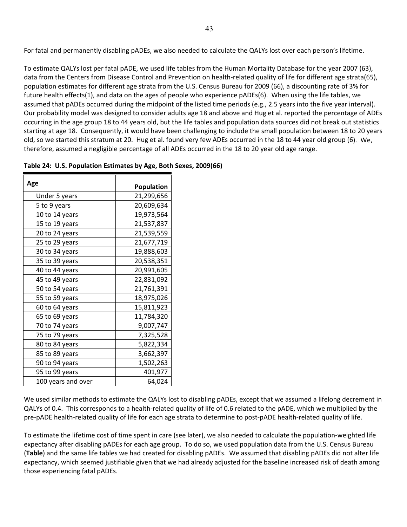For fatal and permanently disabling pADEs, we also needed to calculate the QALYs lost over each person's lifetime.

To estimate QALYs lost per fatal pADE, we used life tables from the Human Mortality Database for the year 2007 (63), data from the Centers from Disease Control and Prevention on health-related quality of life for different age strata(65), population estimates for different age strata from the U.S. Census Bureau for 2009 (66), a discounting rate of 3% for future health effects(1), and data on the ages of people who experience pADEs(6). When using the life tables, we assumed that pADEs occurred during the midpoint of the listed time periods (e.g., 2.5 years into the five year interval). Our probability model was designed to consider adults age 18 and above and Hug et al. reported the percentage of ADEs occurring in the age group 18 to 44 years old, but the life tables and population data sources did not break out statistics starting at age 18. Consequently, it would have been challenging to include the small population between 18 to 20 years old, so we started this stratum at 20. Hug et al. found very few ADEs occurred in the 18 to 44 year old group (6). We, therefore, assumed a negligible percentage of all ADEs occurred in the 18 to 20 year old age range.

| Age                | <b>Population</b> |
|--------------------|-------------------|
| Under 5 years      | 21,299,656        |
| 5 to 9 years       | 20,609,634        |
| 10 to 14 years     | 19,973,564        |
| 15 to 19 years     | 21,537,837        |
| 20 to 24 years     | 21,539,559        |
| 25 to 29 years     | 21,677,719        |
| 30 to 34 years     | 19,888,603        |
| 35 to 39 years     | 20,538,351        |
| 40 to 44 years     | 20,991,605        |
| 45 to 49 years     | 22,831,092        |
| 50 to 54 years     | 21,761,391        |
| 55 to 59 years     | 18,975,026        |
| 60 to 64 years     | 15,811,923        |
| 65 to 69 years     | 11,784,320        |
| 70 to 74 years     | 9,007,747         |
| 75 to 79 years     | 7,325,528         |
| 80 to 84 years     | 5,822,334         |
| 85 to 89 years     | 3,662,397         |
| 90 to 94 years     | 1,502,263         |
| 95 to 99 years     | 401,977           |
| 100 years and over | 64,024            |

We used similar methods to estimate the QALYs lost to disabling pADEs, except that we assumed a lifelong decrement in QALYs of 0.4. This corresponds to a health‐related quality of life of 0.6 related to the pADE, which we multiplied by the pre‐pADE health‐related quality of life for each age strata to determine to post‐pADE health‐related quality of life.

To estimate the lifetime cost of time spent in care (see later), we also needed to calculate the population‐weighted life expectancy after disabling pADEs for each age group. To do so, we used population data from the U.S. Census Bureau (**Table**) and the same life tables we had created for disabling pADEs. We assumed that disabling pADEs did not alter life expectancy, which seemed justifiable given that we had already adjusted for the baseline increased risk of death among those experiencing fatal pADEs.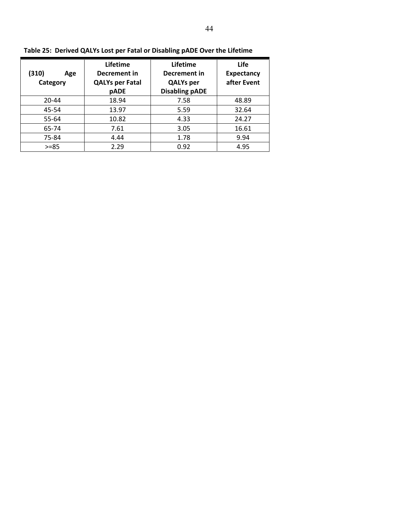| (310)<br>Age<br>Category | Lifetime<br>Decrement in<br><b>QALYs per Fatal</b><br>pADE | Lifetime<br>Decrement in<br><b>QALYs per</b><br><b>Disabling pADE</b> | Life<br><b>Expectancy</b><br>after Event |
|--------------------------|------------------------------------------------------------|-----------------------------------------------------------------------|------------------------------------------|
| $20 - 44$                | 18.94                                                      | 7.58                                                                  | 48.89                                    |
| 45-54                    | 13.97                                                      | 5.59                                                                  | 32.64                                    |
| 55-64                    | 10.82                                                      | 4.33                                                                  | 24.27                                    |
| 65-74                    | 7.61                                                       | 3.05                                                                  | 16.61                                    |
| 75-84                    | 4.44                                                       | 1.78                                                                  | 9.94                                     |
| $>= 85$                  | 2.29                                                       | 0.92                                                                  | 4.95                                     |

**Table 25: Derived QALYs Lost per Fatal or Disabling pADE Over the Lifetime**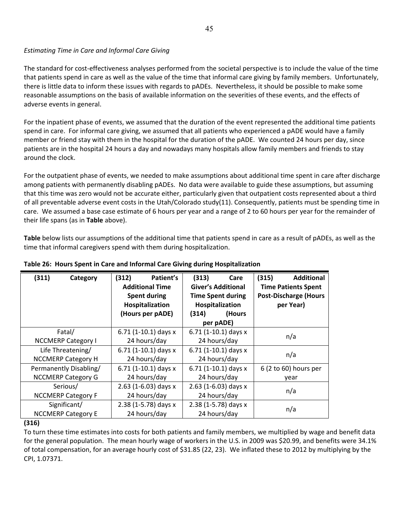## *Estimating Time in Care and Informal Care Giving*

The standard for cost‐effectiveness analyses performed from the societal perspective is to include the value of the time that patients spend in care as well as the value of the time that informal care giving by family members. Unfortunately, there is little data to inform these issues with regards to pADEs. Nevertheless, it should be possible to make some reasonable assumptions on the basis of available information on the severities of these events, and the effects of adverse events in general.

For the inpatient phase of events, we assumed that the duration of the event represented the additional time patients spend in care. For informal care giving, we assumed that all patients who experienced a pADE would have a family member or friend stay with them in the hospital for the duration of the pADE. We counted 24 hours per day, since patients are in the hospital 24 hours a day and nowadays many hospitals allow family members and friends to stay around the clock.

For the outpatient phase of events, we needed to make assumptions about additional time spent in care after discharge among patients with permanently disabling pADEs. No data were available to guide these assumptions, but assuming that this time was zero would not be accurate either, particularly given that outpatient costs represented about a third of all preventable adverse event costs in the Utah/Colorado study(11). Consequently, patients must be spending time in care. We assumed a base case estimate of 6 hours per year and a range of 2 to 60 hours per year for the remainder of their life spans (as in **Table** above).

**Table** below lists our assumptions of the additional time that patients spend in care as a result of pADEs, as well as the time that informal caregivers spend with them during hospitalization.

| (311)<br>Category         | (312)<br>Patient's<br><b>Additional Time</b><br><b>Spent during</b><br>Hospitalization | (313)<br>Care<br><b>Giver's Additional</b><br><b>Time Spent during</b><br>Hospitalization | <b>Additional</b><br>(315)<br><b>Time Patients Spent</b><br><b>Post-Discharge (Hours</b><br>per Year) |
|---------------------------|----------------------------------------------------------------------------------------|-------------------------------------------------------------------------------------------|-------------------------------------------------------------------------------------------------------|
|                           | (Hours per pADE)                                                                       | (Hours<br>(314)<br>per pADE)                                                              |                                                                                                       |
| Fatal/                    | 6.71 $(1-10.1)$ days x                                                                 | 6.71 $(1-10.1)$ days x                                                                    | n/a                                                                                                   |
| <b>NCCMERP Category I</b> | 24 hours/day                                                                           | 24 hours/day                                                                              |                                                                                                       |
| Life Threatening/         | 6.71 $(1-10.1)$ days x                                                                 | 6.71 $(1-10.1)$ days x                                                                    | n/a                                                                                                   |
| <b>NCCMERP Category H</b> | 24 hours/day                                                                           | 24 hours/day                                                                              |                                                                                                       |
| Permanently Disabling/    | 6.71 $(1-10.1)$ days x                                                                 | 6.71 $(1-10.1)$ days x                                                                    | 6 (2 to 60) hours per                                                                                 |
| <b>NCCMERP Category G</b> | 24 hours/day                                                                           | 24 hours/day                                                                              | year                                                                                                  |
| Serious/                  | 2.63 (1-6.03) days $x$                                                                 | 2.63 (1-6.03) days $x$                                                                    | n/a                                                                                                   |
| <b>NCCMERP Category F</b> | 24 hours/day                                                                           | 24 hours/day                                                                              |                                                                                                       |
| Significant/              | 2.38 (1-5.78) days x                                                                   | 2.38 (1-5.78) days x                                                                      | n/a                                                                                                   |
| <b>NCCMERP Category E</b> | 24 hours/day                                                                           | 24 hours/day                                                                              |                                                                                                       |

## **Table 26: Hours Spent in Care and Informal Care Giving during Hospitalization**

#### **(316)**

To turn these time estimates into costs for both patients and family members, we multiplied by wage and benefit data for the general population. The mean hourly wage of workers in the U.S. in 2009 was \$20.99, and benefits were 34.1% of total compensation, for an average hourly cost of \$31.85 (22, 23). We inflated these to 2012 by multiplying by the CPI, 1.07371.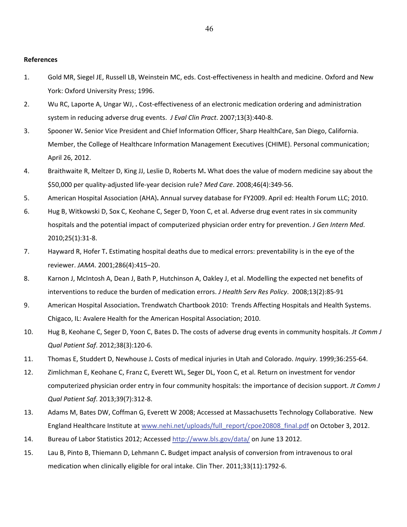#### **References**

- 1. Gold MR, Siegel JE, Russell LB, Weinstein MC, eds. Cost‐effectiveness in health and medicine. Oxford and New York: Oxford University Press; 1996.
- 2. Wu RC, Laporte A, Ungar WJ, **.** Cost‐effectiveness of an electronic medication ordering and administration system in reducing adverse drug events. *J Eval Clin Pract*. 2007;13(3):440‐8.
- 3. Spooner W**.** Senior Vice President and Chief Information Officer, Sharp HealthCare, San Diego, California. Member, the College of Healthcare Information Management Executives (CHIME). Personal communication; April 26, 2012.
- 4. Braithwaite R, Meltzer D, King JJ, Leslie D, Roberts M**.** What does the value of modern medicine say about the \$50,000 per quality‐adjusted life‐year decision rule? *Med Care*. 2008;46(4):349‐56.
- 5. American Hospital Association (AHA)**.** Annual survey database for FY2009. April ed: Health Forum LLC; 2010.
- 6. Hug B, Witkowski D, Sox C, Keohane C, Seger D, Yoon C, et al. Adverse drug event rates in six community hospitals and the potential impact of computerized physician order entry for prevention. *J Gen Intern Med*. 2010;25(1):31‐8.
- 7. Hayward R, Hofer T**.** Estimating hospital deaths due to medical errors: preventability is in the eye of the reviewer. *JAMA*. 2001;286(4):415–20.
- 8. Karnon J, McIntosh A, Dean J, Bath P, Hutchinson A, Oakley J, et al. Modelling the expected net benefits of interventions to reduce the burden of medication errors. *J Health Serv Res Policy*. 2008;13(2):85‐91
- 9. American Hospital Association**.** Trendwatch Chartbook 2010: Trends Affecting Hospitals and Health Systems. Chigaco, IL: Avalere Health for the American Hospital Association; 2010.
- 10. Hug B, Keohane C, Seger D, Yoon C, Bates D**.** The costs of adverse drug events in community hospitals. *Jt Comm J Qual Patient Saf*. 2012;38(3):120‐6.
- 11. Thomas E, Studdert D, Newhouse J**.** Costs of medical injuries in Utah and Colorado. *Inquiry*. 1999;36:255‐64.
- 12. Zimlichman E, Keohane C, Franz C, Everett WL, Seger DL, Yoon C, et al. Return on investment for vendor computerized physician order entry in four community hospitals: the importance of decision support. *Jt Comm J Qual Patient Saf*. 2013;39(7):312‐8.
- 13. Adams M, Bates DW, Coffman G, Everett W 2008; Accessed at Massachusetts Technology Collaborative. New England Healthcare Institute at [www.nehi.net/uploads/full\\_report/cpoe20808\\_final.pdf](http://www.nehi.net/uploads/full_report/cpoe20808_final.pdf) on October 3, 2012.
- 14. Bureau of Labor Statistics 2012; Accessed <http://www.bls.gov/data/> on June 13 2012.
- 15. Lau B, Pinto B, Thiemann D, Lehmann C**.** Budget impact analysis of conversion from intravenous to oral medication when clinically eligible for oral intake. Clin Ther. 2011;33(11):1792‐6.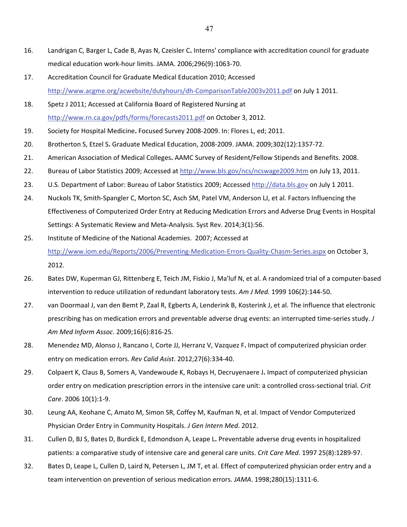- 16. Landrigan C, Barger L, Cade B, Ayas N, Czeisler C**.** Interns' compliance with accreditation council for graduate medical education work‐hour limits. JAMA. 2006;296(9):1063‐70.
- 17. Accreditation Council for Graduate Medical Education 2010; Accessed [http://www.acgme.org/acwebsite/dutyhours/dh](http://www.acgme.org/acwebsite/dutyhours/dh%E2%80%90ComparisonTable2003v2011.pdf)-ComparisonTable2003v2011.pdf on July 1 2011.
- 18. Spetz J 2011; Accessed at California Board of Registered Nursing at <http://www.rn.ca.gov/pdfs/forms/forecasts2011.pdf> on October 3, 2012.
- 19. Society for Hospital Medicine**.** Focused Survey 2008‐2009. In: Flores L, ed; 2011.
- 20. Brotherton S, Etzel S**.** Graduate Medical Education, 2008‐2009. JAMA. 2009;302(12):1357‐72.
- 21. American Association of Medical Colleges**.** AAMC Survey of Resident/Fellow Stipends and Benefits. 2008.
- 22. Bureau of Labor Statistics 2009; Accessed at <http://www.bls.gov/ncs/ncswage2009.htm> on July 13, 2011.
- 23. U.S. Department of Labor: Bureau of Labor Statistics 2009; Accessed <http://data.bls.gov> on July 1 2011.
- 24. Nuckols TK, Smith-Spangler C, Morton SC, Asch SM, Patel VM, Anderson LJ, et al. Factors Influencing the Effectiveness of Computerized Order Entry at Reducing Medication Errors and Adverse Drug Events in Hospital Settings: A Systematic Review and Meta‐Analysis. Syst Rev. 2014;3(1):56.
- 25. Institute of Medicine of the National Academies. 2007; Accessed at [http://www.iom.edu/Reports/2006/Preventing](http://www.iom.edu/Reports/2006/Preventing%E2%80%90Medication%E2%80%90Errors%E2%80%90Quality%E2%80%90Chasm%E2%80%90Series.aspx)-Medication-Errors-Quality-Chasm-Series.aspx on October 3, 2012.
- 26. Bates DW, Kuperman GJ, Rittenberg E, Teich JM, Fiskio J, Ma'luf N, et al. A randomized trial of a computer‐based intervention to reduce utilization of redundant laboratory tests. *Am J Med.* 1999 106(2):144‐50.
- 27. van Doormaal J, van den Bemt P, Zaal R, Egberts A, Lenderink B, Kosterink J, et al. The influence that electronic prescribing has on medication errors and preventable adverse drug events: an interrupted time‐series study. *J Am Med Inform Assoc*. 2009;16(6):816‐25.
- 28. Menendez MD, Alonso J, Rancano I, Corte JJ, Herranz V, Vazquez F**.** Impact of computerized physician order entry on medication errors. *Rev Calid Asist*. 2012;27(6):334‐40.
- 29. Colpaert K, Claus B, Somers A, Vandewoude K, Robays H, Decruyenaere J**.** Impact of computerized physician order entry on medication prescription errors in the intensive care unit: a controlled cross‐sectional trial. *Crit Care*. 2006 10(1):1‐9.
- 30. Leung AA, Keohane C, Amato M, Simon SR, Coffey M, Kaufman N, et al. Impact of Vendor Computerized Physician Order Entry in Community Hospitals. *J Gen Intern Med*. 2012.
- 31. Cullen D, BJ S, Bates D, Burdick E, Edmondson A, Leape L**.** Preventable adverse drug events in hospitalized patients: a comparative study of intensive care and general care units. *Crit Care Med*. 1997 25(8):1289‐97.
- 32. Bates D, Leape L, Cullen D, Laird N, Petersen L, JM T, et al. Effect of computerized physician order entry and a team intervention on prevention of serious medication errors. *JAMA*. 1998;280(15):1311‐6.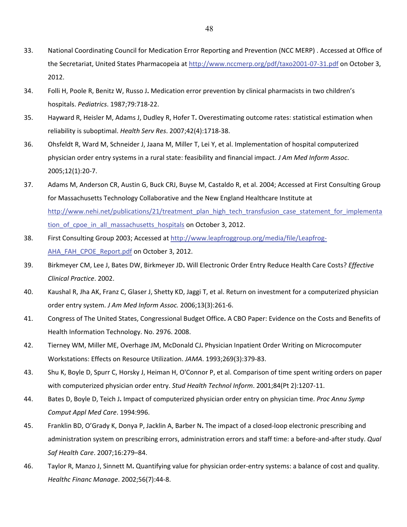- 33. National Coordinating Council for Medication Error Reporting and Prevention (NCC MERP) . Accessed at Office of the Secretariat, United States Pharmacopeia at [http://www.nccmerp.org/pdf/taxo2001](http://www.nccmerp.org/pdf/taxo2001%E2%80%9007%E2%80%9031.pdf)-07-31.pdf on October 3, 2012.
- 34. Folli H, Poole R, Benitz W, Russo J**.** Medication error prevention by clinical pharmacists in two children's hospitals. *Pediatrics*. 1987;79:718‐22.
- 35. Hayward R, Heisler M, Adams J, Dudley R, Hofer T**.** Overestimating outcome rates: statistical estimation when reliability is suboptimal. *Health Serv Res*. 2007;42(4):1718‐38.
- 36. Ohsfeldt R, Ward M, Schneider J, Jaana M, Miller T, Lei Y, et al. Implementation of hospital computerized physician order entry systems in a rural state: feasibility and financial impact. *J Am Med Inform Assoc*. 2005;12(1):20‐7.
- 37. Adams M, Anderson CR, Austin G, Buck CRJ, Buyse M, Castaldo R, et al. 2004; Accessed at First Consulting Group for Massachusetts Technology Collaborative and the New England Healthcare Institute at http://www.nehi.net/publications/21/treatment plan high tech transfusion case statement for implementa [tion\\_of\\_cpoe\\_in\\_all\\_massachusetts\\_hospitals](http://www.nehi.net/publications/14-treatment-plan-high-tech-transfusion-case-statement-for-implementation-of-cpoe-in-all-massachusetts-hospitals/view) on October 3, 2012.
- 38. First Consulting Group 2003; Accessed at [http://www.leapfroggroup.org/media/file/Leapfrog](http://www.leapfroggroup.org/media/file/Leapfrog%E2%80%90AHA_FAH_CPOE_Report.pdf)-[AHA\\_FAH\\_CPOE\\_Report.pdf](http://www.leapfroggroup.org/media/file/Leapfrog%E2%80%90AHA_FAH_CPOE_Report.pdf) on October 3, 2012.
- 39. Birkmeyer CM, Lee J, Bates DW, Birkmeyer JD**.** Will Electronic Order Entry Reduce Health Care Costs? *Effective Clinical Practice*. 2002.
- 40. Kaushal R, Jha AK, Franz C, Glaser J, Shetty KD, Jaggi T, et al. Return on investment for a computerized physician order entry system. *J Am Med Inform Assoc.* 2006;13(3):261‐6.
- 41. Congress of The United States, Congressional Budget Office**.** A CBO Paper: Evidence on the Costs and Benefits of Health Information Technology. No. 2976. 2008.
- 42. Tierney WM, Miller ME, Overhage JM, McDonald CJ**.** Physician Inpatient Order Writing on Microcomputer Workstations: Effects on Resource Utilization. *JAMA*. 1993;269(3):379‐83.
- 43. Shu K, Boyle D, Spurr C, Horsky J, Heiman H, O'Connor P, et al. Comparison of time spent writing orders on paper with computerized physician order entry. *Stud Health Technol Inform*. 2001;84(Pt 2):1207‐11.
- 44. Bates D, Boyle D, Teich J**.** Impact of computerized physician order entry on physician time. *Proc Annu Symp Comput Appl Med Care*. 1994:996.
- 45. Franklin BD, O'Grady K, Donya P, Jacklin A, Barber N**.** The impact of a closed‐loop electronic prescribing and administration system on prescribing errors, administration errors and staff time: a before‐and‐after study. *Qual Saf Health Care*. 2007;16:279–84.
- 46. Taylor R, Manzo J, Sinnett M**.** Quantifying value for physician order‐entry systems: a balance of cost and quality. *Healthc Financ Manage*. 2002;56(7):44‐8.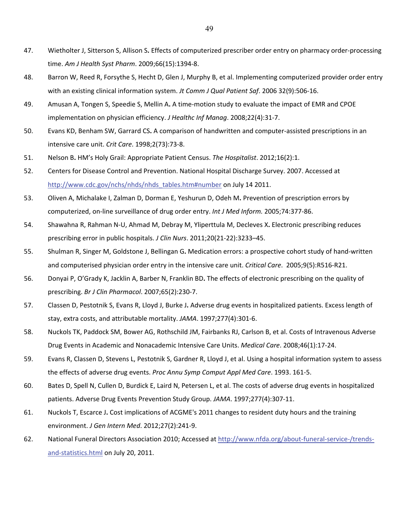- 47. Wietholter J, Sitterson S, Allison S**.** Effects of computerized prescriber order entry on pharmacy order‐processing time. *Am J Health Syst Pharm*. 2009;66(15):1394‐8.
- 48. Barron W, Reed R, Forsythe S, Hecht D, Glen J, Murphy B, et al. Implementing computerized provider order entry with an existing clinical information system. *Jt Comm J Qual Patient Saf*. 2006 32(9):506‐16.
- 49. Amusan A, Tongen S, Speedie S, Mellin A**.** A time‐motion study to evaluate the impact of EMR and CPOE implementation on physician efficiency. *J Healthc Inf Manag*. 2008;22(4):31‐7.
- 50. Evans KD, Benham SW, Garrard CS**.** A comparison of handwritten and computer‐assisted prescriptions in an intensive care unit. *Crit Care*. 1998;2(73):73‐8.
- 51. Nelson B**.** HM's Holy Grail: Appropriate Patient Census. *The Hospitalist*. 2012;16(2):1.
- 52. Centers for Disease Control and Prevention. National Hospital Discharge Survey. 2007. Accessed at [http://www.cdc.gov/nchs/nhds/nhds\\_tables.htm#number](http://www.cdc.gov/nchs/nhds/nhds_tables.htm#number) on July 14 2011.
- 53. Oliven A, Michalake I, Zalman D, Dorman E, Yeshurun D, Odeh M**.** Prevention of prescription errors by computerized, on‐line surveillance of drug order entry. *Int J Med Inform.* 2005;74:377‐86.
- 54. Shawahna R, Rahman N‐U, Ahmad M, Debray M, Yliperttula M, Decleves X**.** Electronic prescribing reduces prescribing error in public hospitals. *J Clin Nurs*. 2011;20(21‐22):3233–45.
- 55. Shulman R, Singer M, Goldstone J, Bellingan G**.** Medication errors: a prospective cohort study of hand‐written and computerised physician order entry in the intensive care unit. *Critical Care*. 2005;9(5):R516‐R21.
- 56. Donyai P, O'Grady K, Jacklin A, Barber N, Franklin BD**.** The effects of electronic prescribing on the quality of prescribing. *Br J Clin Pharmacol*. 2007;65(2):230‐7.
- 57. Classen D, Pestotnik S, Evans R, Lloyd J, Burke J**.** Adverse drug events in hospitalized patients. Excess length of stay, extra costs, and attributable mortality. *JAMA*. 1997;277(4):301‐6.
- 58. Nuckols TK, Paddock SM, Bower AG, Rothschild JM, Fairbanks RJ, Carlson B, et al. Costs of Intravenous Adverse Drug Events in Academic and Nonacademic Intensive Care Units. *Medical Care*. 2008;46(1):17‐24.
- 59. Evans R, Classen D, Stevens L, Pestotnik S, Gardner R, Lloyd J, et al. Using a hospital information system to assess the effects of adverse drug events. *Proc Annu Symp Comput Appl Med Care*. 1993. 161‐5.
- 60. Bates D, Spell N, Cullen D, Burdick E, Laird N, Petersen L, et al. The costs of adverse drug events in hospitalized patients. Adverse Drug Events Prevention Study Group. *JAMA*. 1997;277(4):307‐11.
- 61. Nuckols T, Escarce J**.** Cost implications of ACGME's 2011 changes to resident duty hours and the training environment. *J Gen Intern Med*. 2012;27(2):241‐9.
- 62. National Funeral Directors Association 2010; Accessed at [http://www.nfda.org/about](http://www.nfda.org/about%E2%80%90funeral%E2%80%90service%E2%80%90/trends%E2%80%90and%E2%80%90statistics.html)-funeral-service-/trendsand‐[statistics.html](http://www.nfda.org/about%E2%80%90funeral%E2%80%90service%E2%80%90/trends%E2%80%90and%E2%80%90statistics.html) on July 20, 2011.